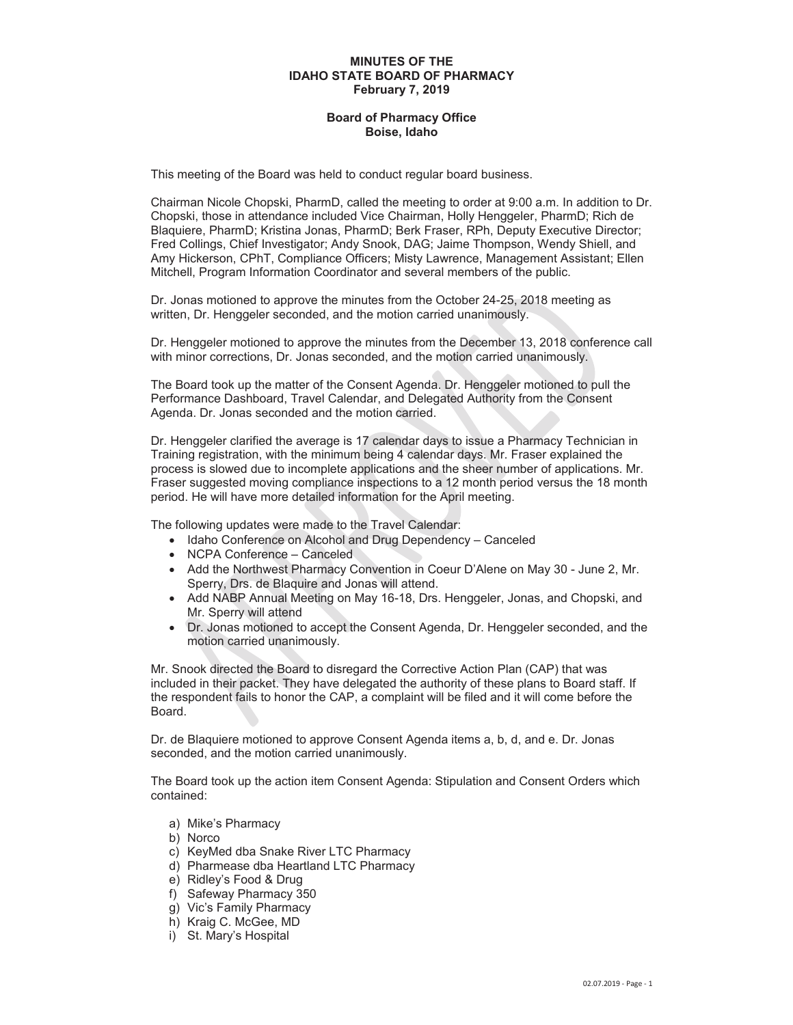## **MINUTES OF THE IDAHO STATE BOARD OF PHARMACY February 7, 2019**

## **Board of Pharmacy Office Boise, Idaho**

This meeting of the Board was held to conduct regular board business.

Chairman Nicole Chopski, PharmD, called the meeting to order at 9:00 a.m. In addition to Dr. Chopski, those in attendance included Vice Chairman, Holly Henggeler, PharmD; Rich de Blaquiere, PharmD; Kristina Jonas, PharmD; Berk Fraser, RPh, Deputy Executive Director; Fred Collings, Chief Investigator; Andy Snook, DAG; Jaime Thompson, Wendy Shiell, and Amy Hickerson, CPhT, Compliance Officers; Misty Lawrence, Management Assistant; Ellen Mitchell, Program Information Coordinator and several members of the public.

Dr. Jonas motioned to approve the minutes from the October 24-25, 2018 meeting as written, Dr. Henggeler seconded, and the motion carried unanimously.

Dr. Henggeler motioned to approve the minutes from the December 13, 2018 conference call with minor corrections, Dr. Jonas seconded, and the motion carried unanimously.

The Board took up the matter of the Consent Agenda. Dr. Henggeler motioned to pull the Performance Dashboard, Travel Calendar, and Delegated Authority from the Consent Agenda. Dr. Jonas seconded and the motion carried.

Dr. Henggeler clarified the average is 17 calendar days to issue a Pharmacy Technician in Training registration, with the minimum being 4 calendar days. Mr. Fraser explained the process is slowed due to incomplete applications and the sheer number of applications. Mr. Fraser suggested moving compliance inspections to a 12 month period versus the 18 month period. He will have more detailed information for the April meeting.

The following updates were made to the Travel Calendar:

- Idaho Conference on Alcohol and Drug Dependency Canceled
- NCPA Conference Canceled
- Add the Northwest Pharmacy Convention in Coeur D'Alene on May 30 June 2, Mr. Sperry, Drs. de Blaquire and Jonas will attend.
- Add NABP Annual Meeting on May 16-18, Drs. Henggeler, Jonas, and Chopski, and Mr. Sperry will attend
- Dr. Jonas motioned to accept the Consent Agenda, Dr. Henggeler seconded, and the motion carried unanimously.

Mr. Snook directed the Board to disregard the Corrective Action Plan (CAP) that was included in their packet. They have delegated the authority of these plans to Board staff. If the respondent fails to honor the CAP, a complaint will be filed and it will come before the Board.

Dr. de Blaquiere motioned to approve Consent Agenda items a, b, d, and e. Dr. Jonas seconded, and the motion carried unanimously.

The Board took up the action item Consent Agenda: Stipulation and Consent Orders which contained:

- a) Mike's Pharmacy
- b) Norco
- c) KeyMed dba Snake River LTC Pharmacy
- d) Pharmease dba Heartland LTC Pharmacy
- e) Ridley's Food & Drug
- f) Safeway Pharmacy 350
- g) Vic's Family Pharmacy
- h) Kraig C. McGee, MD
- i) St. Mary's Hospital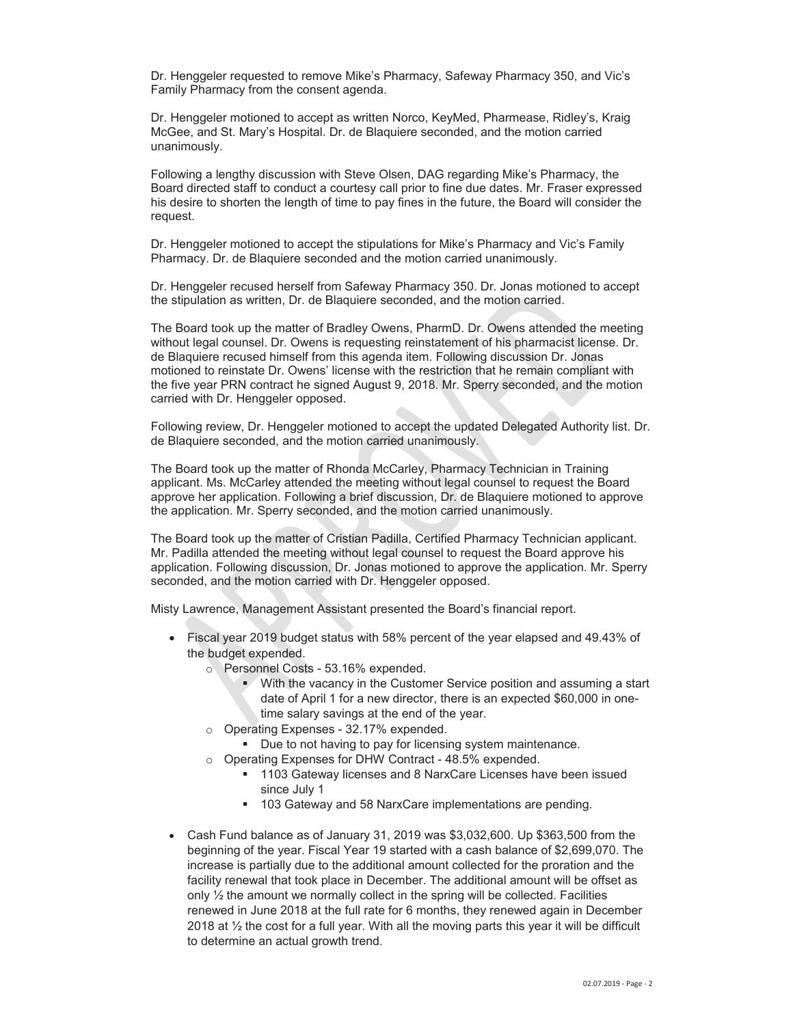Dr. Henggeler requested to remove Mike's Pharmacy, Safeway Pharmacy 350, and Vic's Family Pharmacy from the consent agenda.

Dr. Henggeler motioned to accept as written Norco, KeyMed, Pharmease, Ridley's, Kraig McGee, and St. Mary's Hospital. Dr. de Blaquiere seconded, and the motion carried unanimously.

Following a lengthy discussion with Steve Olsen, DAG regarding Mike's Pharmacy, the Board directed staff to conduct a courtesy call prior to fine due dates. Mr. Fraser expressed his desire to shorten the length of time to pay fines in the future, the Board will consider the request.

Dr. Henggeler motioned to accept the stipulations for Mike's Pharmacy and Vic's Family Pharmacy. Dr. de Blaquiere seconded and the motion carried unanimously.

Dr. Henggeler recused herself from Safeway Pharmacy 350. Dr. Jonas motioned to accept the stipulation as written, Dr. de Blaquiere seconded, and the motion carried.

The Board took up the matter of Bradley Owens, PharmD. Dr. Owens attended the meeting without legal counsel. Dr. Owens is requesting reinstatement of his pharmacist license. Dr. de Blaquiere recused himself from this agenda item. Following discussion Dr. Jonas motioned to reinstate Dr. Owens' license with the restriction that he remain compliant with the five year PRN contract he signed August 9, 2018. Mr. Sperry seconded, and the motion carried with Dr. Henggeler opposed.

Following review, Dr. Henggeler motioned to accept the updated Delegated Authority list. Dr. de Blaquiere seconded, and the motion carried unanimously.

The Board took up the matter of Rhonda McCarley, Pharmacy Technician in Training applicant. Ms. McCarley attended the meeting without legal counsel to request the Board approve her application. Following a brief discussion, Dr. de Blaquiere motioned to approve the application. Mr. Sperry seconded, and the motion carried unanimously.

The Board took up the matter of Cristian Padilla, Certified Pharmacy Technician applicant. Mr. Padilla attended the meeting without legal counsel to request the Board approve his application. Following discussion, Dr. Jonas motioned to approve the application. Mr. Sperry seconded, and the motion carried with Dr. Henggeler opposed.

Misty Lawrence, Management Assistant presented the Board's financial report.

- Fiscal year 2019 budget status with 58% percent of the year elapsed and 49.43% of the budget expended.
	- o Personnel Costs 53.16% expended.
		- With the vacancy in the Customer Service position and assuming a start date of April 1 for a new director, there is an expected \$60,000 in onetime salary savings at the end of the year.
	- o Operating Expenses 32.17% expended.
		- Due to not having to pay for licensing system maintenance.
	- o Operating Expenses for DHW Contract 48.5% expended.
		- 1103 Gateway licenses and 8 NarxCare Licenses have been issued since July 1
		- 103 Gateway and 58 NarxCare implementations are pending.
- x Cash Fund balance as of January 31, 2019 was \$3,032,600. Up \$363,500 from the beginning of the year. Fiscal Year 19 started with a cash balance of \$2,699,070. The increase is partially due to the additional amount collected for the proration and the facility renewal that took place in December. The additional amount will be offset as only ½ the amount we normally collect in the spring will be collected. Facilities renewed in June 2018 at the full rate for 6 months, they renewed again in December 2018 at ½ the cost for a full year. With all the moving parts this year it will be difficult to determine an actual growth trend.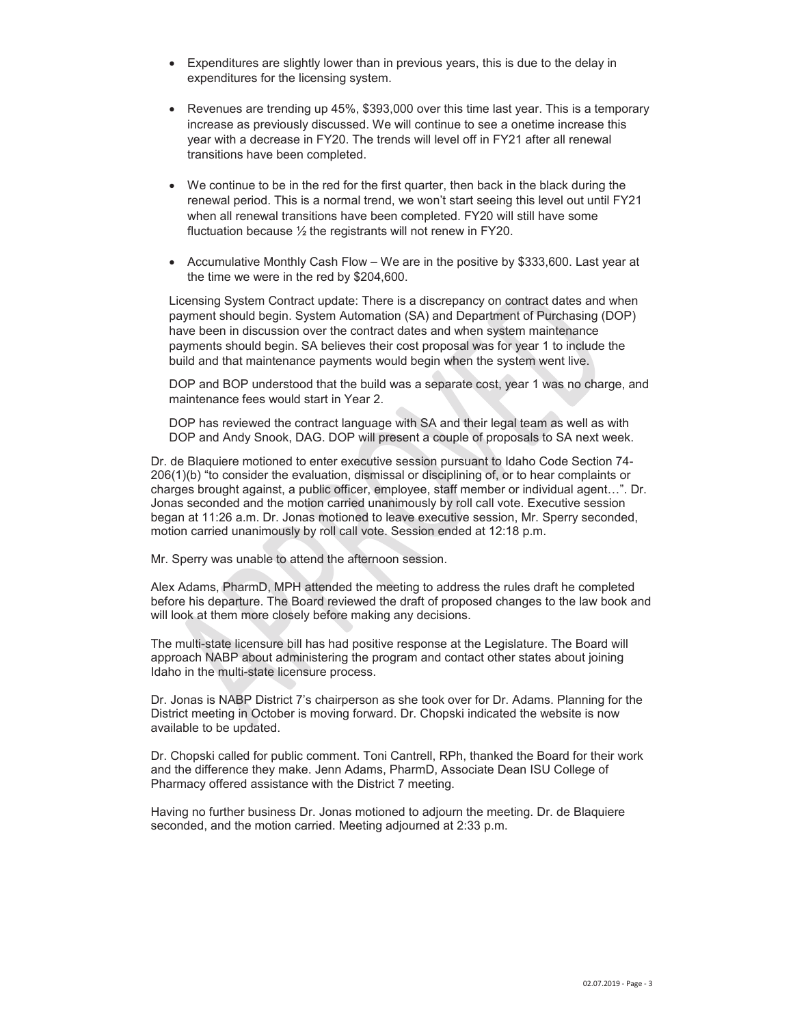- Expenditures are slightly lower than in previous years, this is due to the delay in expenditures for the licensing system.
- Exergines are trending up 45%,  $$393,000$  over this time last year. This is a temporary increase as previously discussed. We will continue to see a onetime increase this year with a decrease in FY20. The trends will level off in FY21 after all renewal transitions have been completed.
- We continue to be in the red for the first quarter, then back in the black during the renewal period. This is a normal trend, we won't start seeing this level out until FY21 when all renewal transitions have been completed. FY20 will still have some fluctuation because  $\frac{1}{2}$  the registrants will not renew in FY20.
- Accumulative Monthly Cash Flow We are in the positive by \$333,600. Last year at the time we were in the red by \$204,600.

Licensing System Contract update: There is a discrepancy on contract dates and when payment should begin. System Automation (SA) and Department of Purchasing (DOP) have been in discussion over the contract dates and when system maintenance payments should begin. SA believes their cost proposal was for year 1 to include the build and that maintenance payments would begin when the system went live.

DOP and BOP understood that the build was a separate cost, year 1 was no charge, and maintenance fees would start in Year 2.

DOP has reviewed the contract language with SA and their legal team as well as with DOP and Andy Snook, DAG. DOP will present a couple of proposals to SA next week.

Dr. de Blaquiere motioned to enter executive session pursuant to Idaho Code Section 74- 206(1)(b) "to consider the evaluation, dismissal or disciplining of, or to hear complaints or charges brought against, a public officer, employee, staff member or individual agent…". Dr. Jonas seconded and the motion carried unanimously by roll call vote. Executive session began at 11:26 a.m. Dr. Jonas motioned to leave executive session, Mr. Sperry seconded, motion carried unanimously by roll call vote. Session ended at 12:18 p.m.

Mr. Sperry was unable to attend the afternoon session.

Alex Adams, PharmD, MPH attended the meeting to address the rules draft he completed before his departure. The Board reviewed the draft of proposed changes to the law book and will look at them more closely before making any decisions.

The multi-state licensure bill has had positive response at the Legislature. The Board will approach NABP about administering the program and contact other states about joining Idaho in the multi-state licensure process.

Dr. Jonas is NABP District 7's chairperson as she took over for Dr. Adams. Planning for the District meeting in October is moving forward. Dr. Chopski indicated the website is now available to be updated.

Dr. Chopski called for public comment. Toni Cantrell, RPh, thanked the Board for their work and the difference they make. Jenn Adams, PharmD, Associate Dean ISU College of Pharmacy offered assistance with the District 7 meeting.

Having no further business Dr. Jonas motioned to adjourn the meeting. Dr. de Blaquiere seconded, and the motion carried. Meeting adjourned at 2:33 p.m.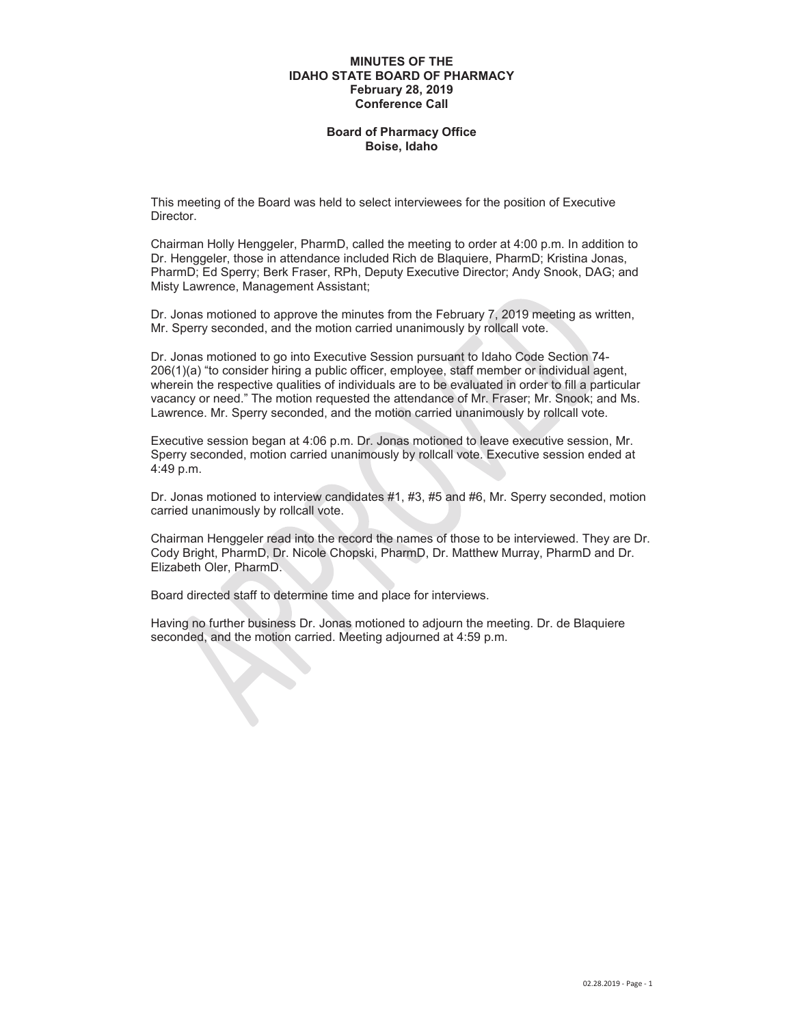### **MINUTES OF THE IDAHO STATE BOARD OF PHARMACY February 28, 2019 Conference Call**

## **Board of Pharmacy Office Boise, Idaho**

This meeting of the Board was held to select interviewees for the position of Executive Director.

Chairman Holly Henggeler, PharmD, called the meeting to order at 4:00 p.m. In addition to Dr. Henggeler, those in attendance included Rich de Blaquiere, PharmD; Kristina Jonas, PharmD; Ed Sperry; Berk Fraser, RPh, Deputy Executive Director; Andy Snook, DAG; and Misty Lawrence, Management Assistant;

Dr. Jonas motioned to approve the minutes from the February 7, 2019 meeting as written, Mr. Sperry seconded, and the motion carried unanimously by rollcall vote.

Dr. Jonas motioned to go into Executive Session pursuant to Idaho Code Section 74- 206(1)(a) "to consider hiring a public officer, employee, staff member or individual agent, wherein the respective qualities of individuals are to be evaluated in order to fill a particular vacancy or need." The motion requested the attendance of Mr. Fraser; Mr. Snook; and Ms. Lawrence. Mr. Sperry seconded, and the motion carried unanimously by rollcall vote.

Executive session began at 4:06 p.m. Dr. Jonas motioned to leave executive session, Mr. Sperry seconded, motion carried unanimously by rollcall vote. Executive session ended at 4:49 p.m.

Dr. Jonas motioned to interview candidates #1, #3, #5 and #6, Mr. Sperry seconded, motion carried unanimously by rollcall vote.

Chairman Henggeler read into the record the names of those to be interviewed. They are Dr. Cody Bright, PharmD, Dr. Nicole Chopski, PharmD, Dr. Matthew Murray, PharmD and Dr. Elizabeth Oler, PharmD.

Board directed staff to determine time and place for interviews.

Having no further business Dr. Jonas motioned to adjourn the meeting. Dr. de Blaquiere seconded, and the motion carried. Meeting adjourned at 4:59 p.m.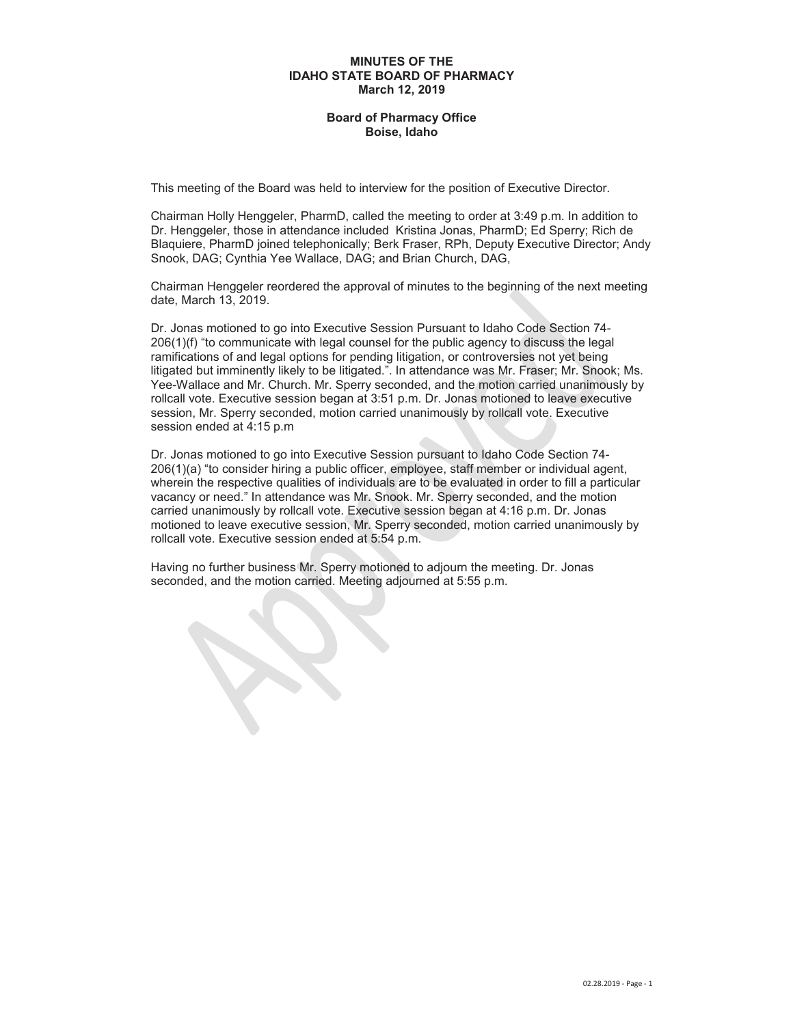### **MINUTES OF THE IDAHO STATE BOARD OF PHARMACY March 12, 2019**

## **Board of Pharmacy Office Boise, Idaho**

This meeting of the Board was held to interview for the position of Executive Director.

Chairman Holly Henggeler, PharmD, called the meeting to order at 3:49 p.m. In addition to Dr. Henggeler, those in attendance included Kristina Jonas, PharmD; Ed Sperry; Rich de Blaquiere, PharmD joined telephonically; Berk Fraser, RPh, Deputy Executive Director; Andy Snook, DAG; Cynthia Yee Wallace, DAG; and Brian Church, DAG,

Chairman Henggeler reordered the approval of minutes to the beginning of the next meeting date, March 13, 2019.

Dr. Jonas motioned to go into Executive Session Pursuant to Idaho Code Section 74- 206(1)(f) "to communicate with legal counsel for the public agency to discuss the legal ramifications of and legal options for pending litigation, or controversies not yet being litigated but imminently likely to be litigated.". In attendance was Mr. Fraser; Mr. Snook; Ms. Yee-Wallace and Mr. Church. Mr. Sperry seconded, and the motion carried unanimously by rollcall vote. Executive session began at 3:51 p.m. Dr. Jonas motioned to leave executive session, Mr. Sperry seconded, motion carried unanimously by rollcall vote. Executive session ended at 4:15 p.m

Dr. Jonas motioned to go into Executive Session pursuant to Idaho Code Section 74- 206(1)(a) "to consider hiring a public officer, employee, staff member or individual agent, wherein the respective qualities of individuals are to be evaluated in order to fill a particular vacancy or need." In attendance was Mr. Snook. Mr. Sperry seconded, and the motion carried unanimously by rollcall vote. Executive session began at 4:16 p.m. Dr. Jonas motioned to leave executive session, Mr. Sperry seconded, motion carried unanimously by rollcall vote. Executive session ended at 5:54 p.m.

Having no further business Mr. Sperry motioned to adjourn the meeting. Dr. Jonas seconded, and the motion carried. Meeting adjourned at 5:55 p.m.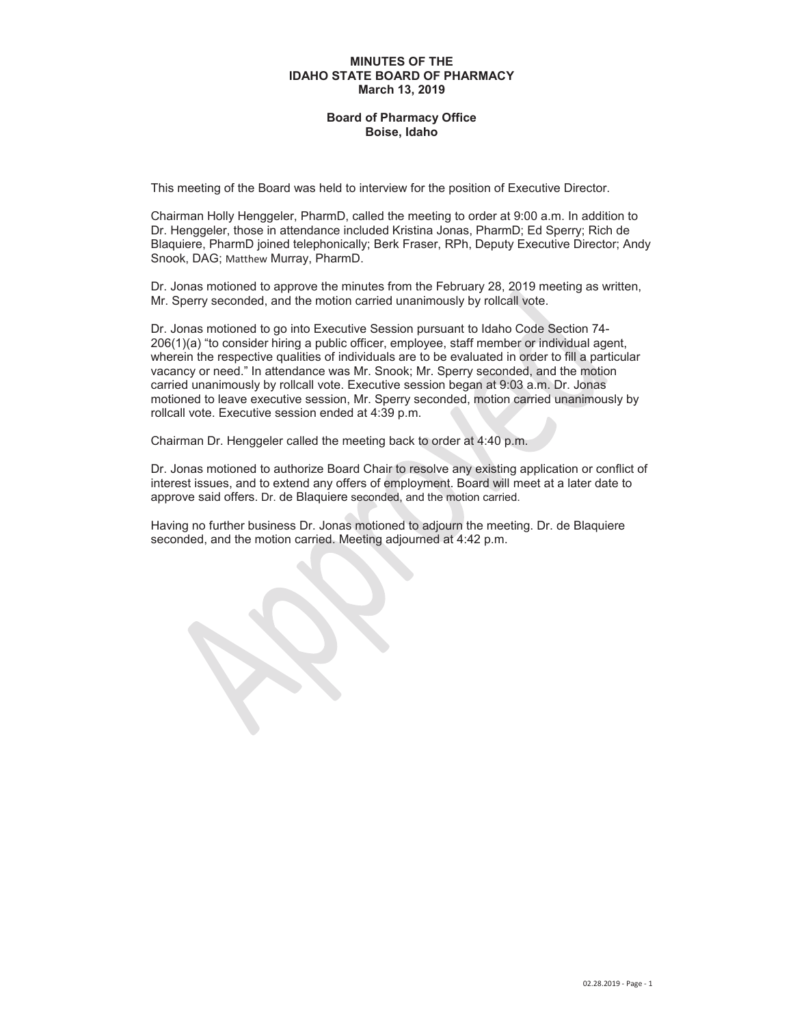### **MINUTES OF THE IDAHO STATE BOARD OF PHARMACY March 13, 2019**

## **Board of Pharmacy Office Boise, Idaho**

This meeting of the Board was held to interview for the position of Executive Director.

Chairman Holly Henggeler, PharmD, called the meeting to order at 9:00 a.m. In addition to Dr. Henggeler, those in attendance included Kristina Jonas, PharmD; Ed Sperry; Rich de Blaquiere, PharmD joined telephonically; Berk Fraser, RPh, Deputy Executive Director; Andy Snook, DAG; Matthew Murray, PharmD.

Dr. Jonas motioned to approve the minutes from the February 28, 2019 meeting as written, Mr. Sperry seconded, and the motion carried unanimously by rollcall vote.

Dr. Jonas motioned to go into Executive Session pursuant to Idaho Code Section 74- 206(1)(a) "to consider hiring a public officer, employee, staff member or individual agent, wherein the respective qualities of individuals are to be evaluated in order to fill a particular vacancy or need." In attendance was Mr. Snook; Mr. Sperry seconded, and the motion carried unanimously by rollcall vote. Executive session began at 9:03 a.m. Dr. Jonas motioned to leave executive session, Mr. Sperry seconded, motion carried unanimously by rollcall vote. Executive session ended at 4:39 p.m.

Chairman Dr. Henggeler called the meeting back to order at 4:40 p.m.

Dr. Jonas motioned to authorize Board Chair to resolve any existing application or conflict of interest issues, and to extend any offers of employment. Board will meet at a later date to approve said offers. Dr. de Blaquiere seconded, and the motion carried.

Having no further business Dr. Jonas motioned to adjourn the meeting. Dr. de Blaquiere seconded, and the motion carried. Meeting adjourned at 4:42 p.m.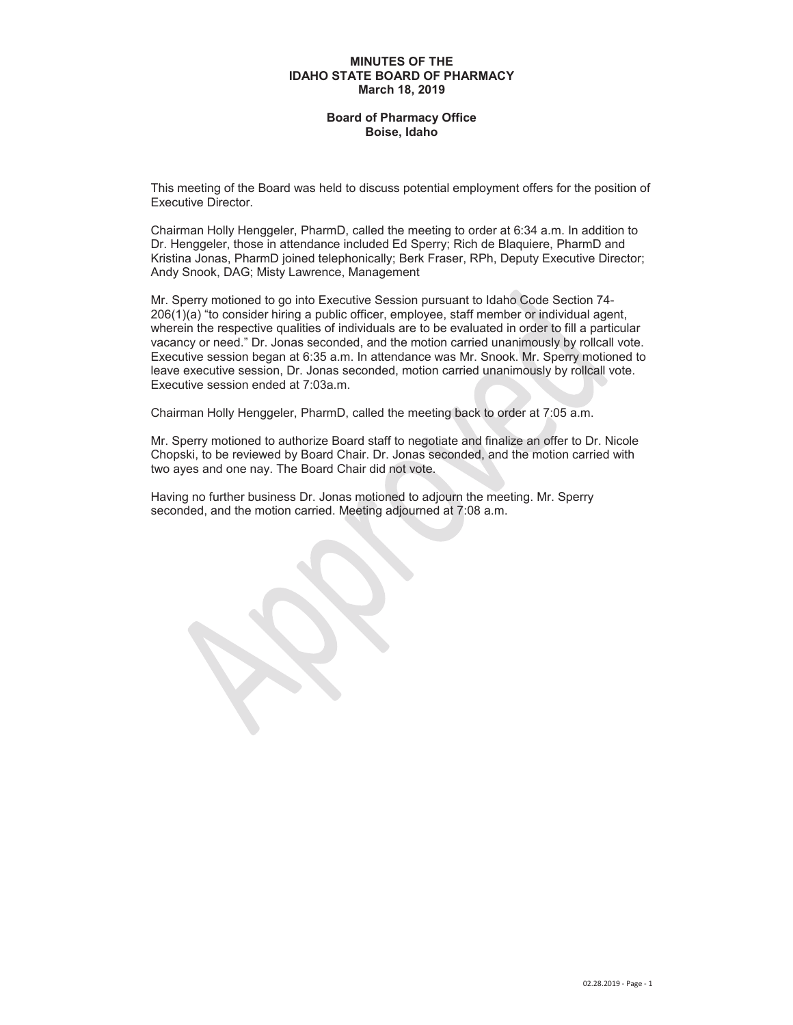### **MINUTES OF THE IDAHO STATE BOARD OF PHARMACY March 18, 2019**

## **Board of Pharmacy Office Boise, Idaho**

This meeting of the Board was held to discuss potential employment offers for the position of Executive Director.

Chairman Holly Henggeler, PharmD, called the meeting to order at 6:34 a.m. In addition to Dr. Henggeler, those in attendance included Ed Sperry; Rich de Blaquiere, PharmD and Kristina Jonas, PharmD joined telephonically; Berk Fraser, RPh, Deputy Executive Director; Andy Snook, DAG; Misty Lawrence, Management

Mr. Sperry motioned to go into Executive Session pursuant to Idaho Code Section 74- 206(1)(a) "to consider hiring a public officer, employee, staff member or individual agent, wherein the respective qualities of individuals are to be evaluated in order to fill a particular vacancy or need." Dr. Jonas seconded, and the motion carried unanimously by rollcall vote. Executive session began at 6:35 a.m. In attendance was Mr. Snook. Mr. Sperry motioned to leave executive session, Dr. Jonas seconded, motion carried unanimously by rollcall vote. Executive session ended at 7:03a.m.

Chairman Holly Henggeler, PharmD, called the meeting back to order at 7:05 a.m.

Mr. Sperry motioned to authorize Board staff to negotiate and finalize an offer to Dr. Nicole Chopski, to be reviewed by Board Chair. Dr. Jonas seconded, and the motion carried with two ayes and one nay. The Board Chair did not vote.

Having no further business Dr. Jonas motioned to adjourn the meeting. Mr. Sperry seconded, and the motion carried. Meeting adjourned at 7:08 a.m.

X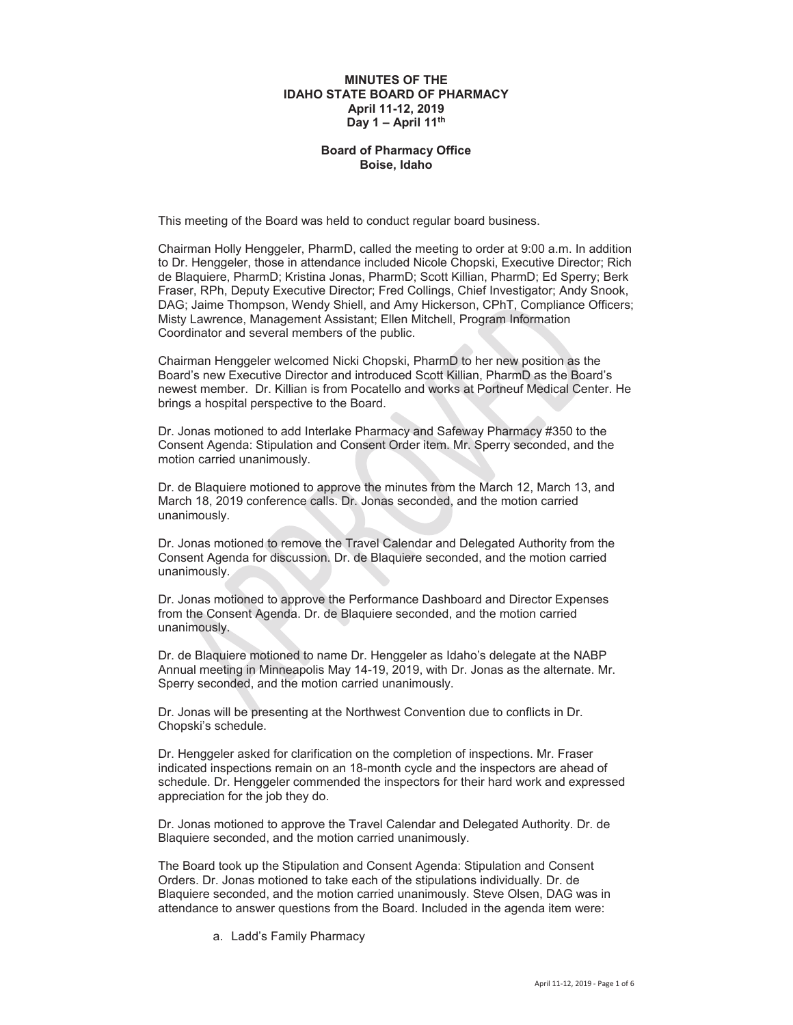## **MINUTES OF THE IDAHO STATE BOARD OF PHARMACY April 11-12, 2019 Day 1 – April 11th**

## **Board of Pharmacy Office Boise, Idaho**

This meeting of the Board was held to conduct regular board business.

Chairman Holly Henggeler, PharmD, called the meeting to order at 9:00 a.m. In addition to Dr. Henggeler, those in attendance included Nicole Chopski, Executive Director; Rich de Blaquiere, PharmD; Kristina Jonas, PharmD; Scott Killian, PharmD; Ed Sperry; Berk Fraser, RPh, Deputy Executive Director; Fred Collings, Chief Investigator; Andy Snook, DAG; Jaime Thompson, Wendy Shiell, and Amy Hickerson, CPhT, Compliance Officers; Misty Lawrence, Management Assistant; Ellen Mitchell, Program Information Coordinator and several members of the public.

Chairman Henggeler welcomed Nicki Chopski, PharmD to her new position as the Board's new Executive Director and introduced Scott Killian, PharmD as the Board's newest member. Dr. Killian is from Pocatello and works at Portneuf Medical Center. He brings a hospital perspective to the Board.

Dr. Jonas motioned to add Interlake Pharmacy and Safeway Pharmacy #350 to the Consent Agenda: Stipulation and Consent Order item. Mr. Sperry seconded, and the motion carried unanimously.

Dr. de Blaquiere motioned to approve the minutes from the March 12, March 13, and March 18, 2019 conference calls. Dr. Jonas seconded, and the motion carried unanimously.

Dr. Jonas motioned to remove the Travel Calendar and Delegated Authority from the Consent Agenda for discussion. Dr. de Blaquiere seconded, and the motion carried unanimously.

Dr. Jonas motioned to approve the Performance Dashboard and Director Expenses from the Consent Agenda. Dr. de Blaquiere seconded, and the motion carried unanimously.

Dr. de Blaquiere motioned to name Dr. Henggeler as Idaho's delegate at the NABP Annual meeting in Minneapolis May 14-19, 2019, with Dr. Jonas as the alternate. Mr. Sperry seconded, and the motion carried unanimously.

Dr. Jonas will be presenting at the Northwest Convention due to conflicts in Dr. Chopski's schedule.

Dr. Henggeler asked for clarification on the completion of inspections. Mr. Fraser indicated inspections remain on an 18-month cycle and the inspectors are ahead of schedule. Dr. Henggeler commended the inspectors for their hard work and expressed appreciation for the job they do.

Dr. Jonas motioned to approve the Travel Calendar and Delegated Authority. Dr. de Blaquiere seconded, and the motion carried unanimously.

The Board took up the Stipulation and Consent Agenda: Stipulation and Consent Orders. Dr. Jonas motioned to take each of the stipulations individually. Dr. de Blaquiere seconded, and the motion carried unanimously. Steve Olsen, DAG was in attendance to answer questions from the Board. Included in the agenda item were:

a. Ladd's Family Pharmacy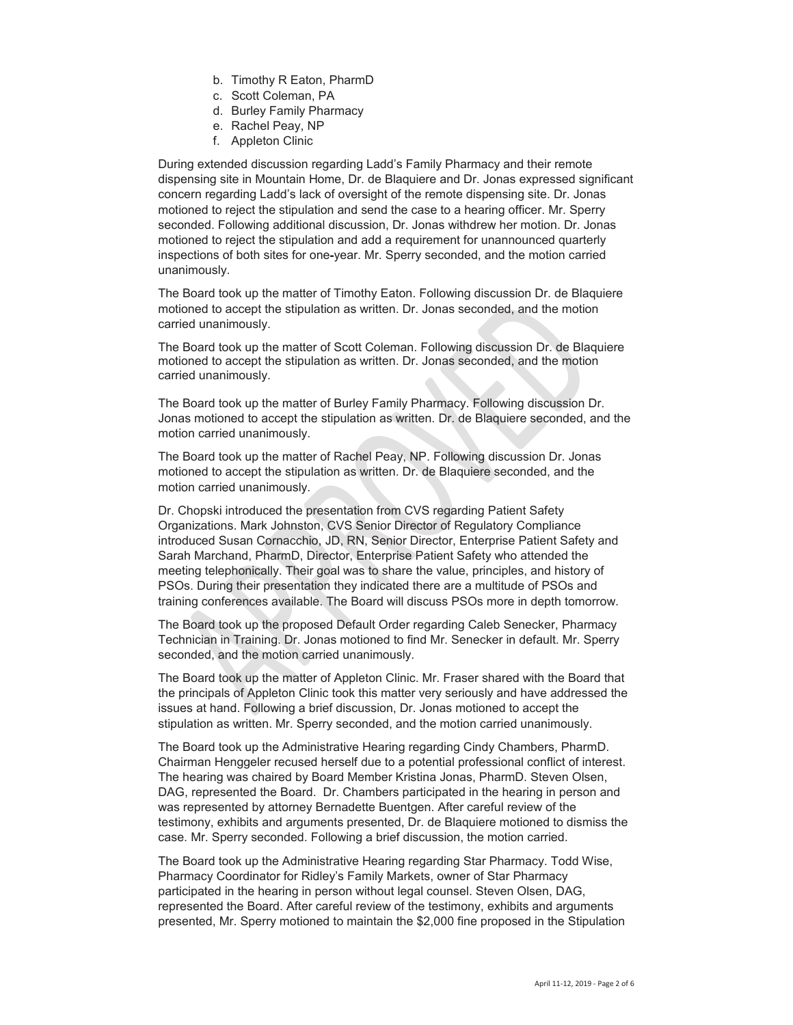- b. Timothy R Eaton, PharmD
- c. Scott Coleman, PA
- d. Burley Family Pharmacy
- e. Rachel Peay, NP
- f. Appleton Clinic

During extended discussion regarding Ladd's Family Pharmacy and their remote dispensing site in Mountain Home, Dr. de Blaquiere and Dr. Jonas expressed significant concern regarding Ladd's lack of oversight of the remote dispensing site. Dr. Jonas motioned to reject the stipulation and send the case to a hearing officer. Mr. Sperry seconded. Following additional discussion, Dr. Jonas withdrew her motion. Dr. Jonas motioned to reject the stipulation and add a requirement for unannounced quarterly inspections of both sites for one-year. Mr. Sperry seconded, and the motion carried unanimously.

The Board took up the matter of Timothy Eaton. Following discussion Dr. de Blaquiere motioned to accept the stipulation as written. Dr. Jonas seconded, and the motion carried unanimously.

The Board took up the matter of Scott Coleman. Following discussion Dr. de Blaquiere motioned to accept the stipulation as written. Dr. Jonas seconded, and the motion carried unanimously.

The Board took up the matter of Burley Family Pharmacy. Following discussion Dr. Jonas motioned to accept the stipulation as written. Dr. de Blaquiere seconded, and the motion carried unanimously.

The Board took up the matter of Rachel Peay, NP. Following discussion Dr. Jonas motioned to accept the stipulation as written. Dr. de Blaquiere seconded, and the motion carried unanimously.

Dr. Chopski introduced the presentation from CVS regarding Patient Safety Organizations. Mark Johnston, CVS Senior Director of Regulatory Compliance introduced Susan Cornacchio, JD, RN, Senior Director, Enterprise Patient Safety and Sarah Marchand, PharmD, Director, Enterprise Patient Safety who attended the meeting telephonically. Their goal was to share the value, principles, and history of PSOs. During their presentation they indicated there are a multitude of PSOs and training conferences available. The Board will discuss PSOs more in depth tomorrow.

The Board took up the proposed Default Order regarding Caleb Senecker, Pharmacy Technician in Training. Dr. Jonas motioned to find Mr. Senecker in default. Mr. Sperry seconded, and the motion carried unanimously.

The Board took up the matter of Appleton Clinic. Mr. Fraser shared with the Board that the principals of Appleton Clinic took this matter very seriously and have addressed the issues at hand. Following a brief discussion, Dr. Jonas motioned to accept the stipulation as written. Mr. Sperry seconded, and the motion carried unanimously.

The Board took up the Administrative Hearing regarding Cindy Chambers, PharmD. Chairman Henggeler recused herself due to a potential professional conflict of interest. The hearing was chaired by Board Member Kristina Jonas, PharmD. Steven Olsen, DAG, represented the Board. Dr. Chambers participated in the hearing in person and was represented by attorney Bernadette Buentgen. After careful review of the testimony, exhibits and arguments presented, Dr. de Blaquiere motioned to dismiss the case. Mr. Sperry seconded. Following a brief discussion, the motion carried.

The Board took up the Administrative Hearing regarding Star Pharmacy. Todd Wise, Pharmacy Coordinator for Ridley's Family Markets, owner of Star Pharmacy participated in the hearing in person without legal counsel. Steven Olsen, DAG, represented the Board. After careful review of the testimony, exhibits and arguments presented, Mr. Sperry motioned to maintain the \$2,000 fine proposed in the Stipulation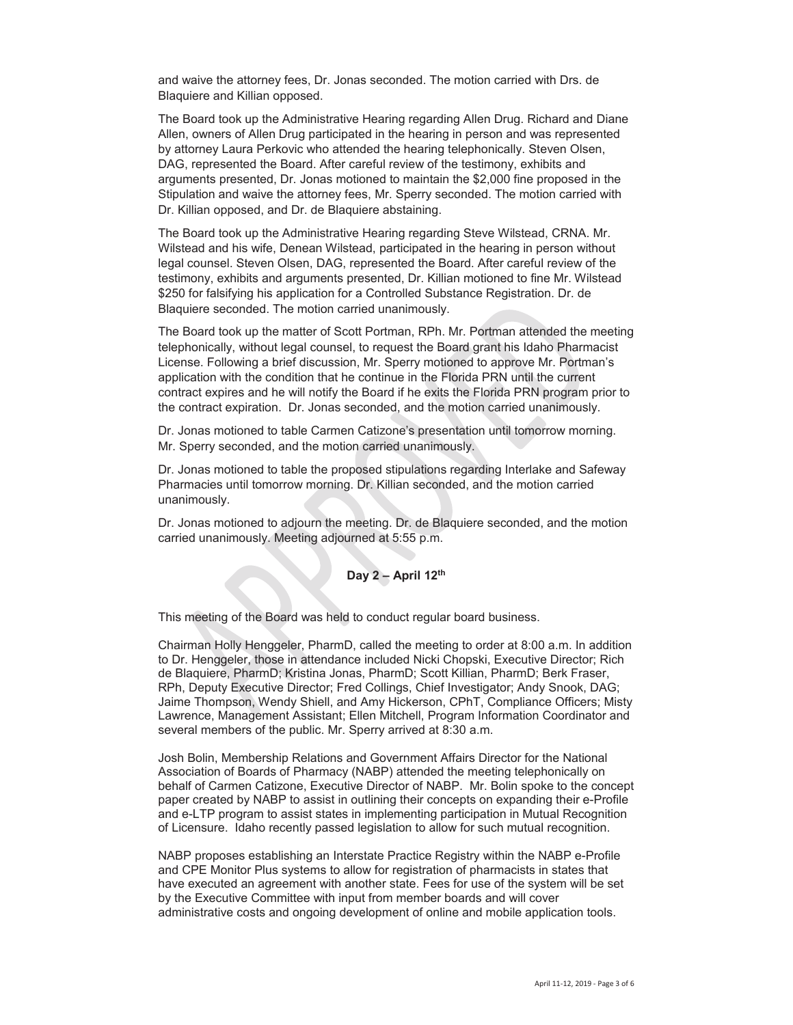and waive the attorney fees, Dr. Jonas seconded. The motion carried with Drs. de Blaquiere and Killian opposed.

The Board took up the Administrative Hearing regarding Allen Drug. Richard and Diane Allen, owners of Allen Drug participated in the hearing in person and was represented by attorney Laura Perkovic who attended the hearing telephonically. Steven Olsen, DAG, represented the Board. After careful review of the testimony, exhibits and arguments presented, Dr. Jonas motioned to maintain the \$2,000 fine proposed in the Stipulation and waive the attorney fees, Mr. Sperry seconded. The motion carried with Dr. Killian opposed, and Dr. de Blaquiere abstaining.

The Board took up the Administrative Hearing regarding Steve Wilstead, CRNA. Mr. Wilstead and his wife, Denean Wilstead, participated in the hearing in person without legal counsel. Steven Olsen, DAG, represented the Board. After careful review of the testimony, exhibits and arguments presented, Dr. Killian motioned to fine Mr. Wilstead \$250 for falsifying his application for a Controlled Substance Registration. Dr. de Blaquiere seconded. The motion carried unanimously.

The Board took up the matter of Scott Portman, RPh. Mr. Portman attended the meeting telephonically, without legal counsel, to request the Board grant his Idaho Pharmacist License. Following a brief discussion, Mr. Sperry motioned to approve Mr. Portman's application with the condition that he continue in the Florida PRN until the current contract expires and he will notify the Board if he exits the Florida PRN program prior to the contract expiration. Dr. Jonas seconded, and the motion carried unanimously.

Dr. Jonas motioned to table Carmen Catizone's presentation until tomorrow morning. Mr. Sperry seconded, and the motion carried unanimously.

Dr. Jonas motioned to table the proposed stipulations regarding Interlake and Safeway Pharmacies until tomorrow morning. Dr. Killian seconded, and the motion carried unanimously.

Dr. Jonas motioned to adjourn the meeting. Dr. de Blaquiere seconded, and the motion carried unanimously. Meeting adjourned at 5:55 p.m.

## **Day 2 – April 12th**

This meeting of the Board was held to conduct regular board business.

Chairman Holly Henggeler, PharmD, called the meeting to order at 8:00 a.m. In addition to Dr. Henggeler, those in attendance included Nicki Chopski, Executive Director; Rich de Blaquiere, PharmD; Kristina Jonas, PharmD; Scott Killian, PharmD; Berk Fraser, RPh, Deputy Executive Director; Fred Collings, Chief Investigator; Andy Snook, DAG; Jaime Thompson, Wendy Shiell, and Amy Hickerson, CPhT, Compliance Officers; Misty Lawrence, Management Assistant; Ellen Mitchell, Program Information Coordinator and several members of the public. Mr. Sperry arrived at 8:30 a.m.

Josh Bolin, Membership Relations and Government Affairs Director for the National Association of Boards of Pharmacy (NABP) attended the meeting telephonically on behalf of Carmen Catizone, Executive Director of NABP. Mr. Bolin spoke to the concept paper created by NABP to assist in outlining their concepts on expanding their e-Profile and e-LTP program to assist states in implementing participation in Mutual Recognition of Licensure. Idaho recently passed legislation to allow for such mutual recognition.

NABP proposes establishing an Interstate Practice Registry within the NABP e-Profile and CPE Monitor Plus systems to allow for registration of pharmacists in states that have executed an agreement with another state. Fees for use of the system will be set by the Executive Committee with input from member boards and will cover administrative costs and ongoing development of online and mobile application tools.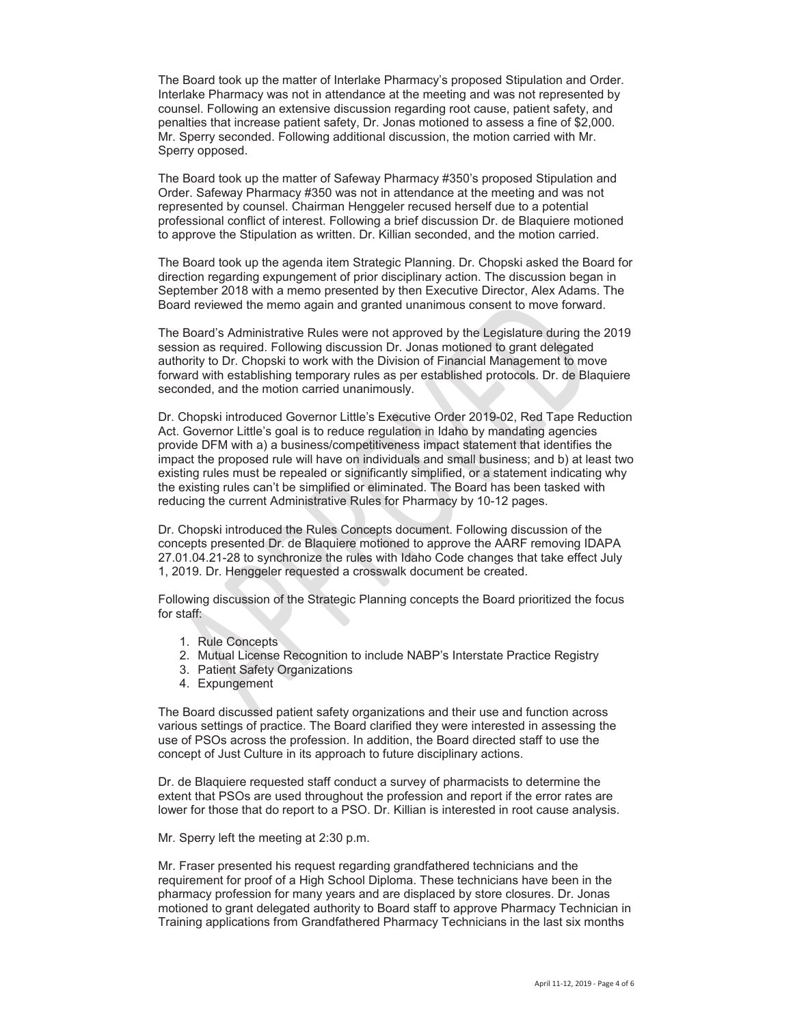The Board took up the matter of Interlake Pharmacy's proposed Stipulation and Order. Interlake Pharmacy was not in attendance at the meeting and was not represented by counsel. Following an extensive discussion regarding root cause, patient safety, and penalties that increase patient safety, Dr. Jonas motioned to assess a fine of \$2,000. Mr. Sperry seconded. Following additional discussion, the motion carried with Mr. Sperry opposed.

The Board took up the matter of Safeway Pharmacy #350's proposed Stipulation and Order. Safeway Pharmacy #350 was not in attendance at the meeting and was not represented by counsel. Chairman Henggeler recused herself due to a potential professional conflict of interest. Following a brief discussion Dr. de Blaquiere motioned to approve the Stipulation as written. Dr. Killian seconded, and the motion carried.

The Board took up the agenda item Strategic Planning. Dr. Chopski asked the Board for direction regarding expungement of prior disciplinary action. The discussion began in September 2018 with a memo presented by then Executive Director, Alex Adams. The Board reviewed the memo again and granted unanimous consent to move forward.

The Board's Administrative Rules were not approved by the Legislature during the 2019 session as required. Following discussion Dr. Jonas motioned to grant delegated authority to Dr. Chopski to work with the Division of Financial Management to move forward with establishing temporary rules as per established protocols. Dr. de Blaquiere seconded, and the motion carried unanimously.

Dr. Chopski introduced Governor Little's Executive Order 2019-02, Red Tape Reduction Act. Governor Little's goal is to reduce regulation in Idaho by mandating agencies provide DFM with a) a business/competitiveness impact statement that identifies the impact the proposed rule will have on individuals and small business; and b) at least two existing rules must be repealed or significantly simplified, or a statement indicating why the existing rules can't be simplified or eliminated. The Board has been tasked with reducing the current Administrative Rules for Pharmacy by 10-12 pages.

Dr. Chopski introduced the Rules Concepts document. Following discussion of the concepts presented Dr. de Blaquiere motioned to approve the AARF removing IDAPA 27.01.04.21-28 to synchronize the rules with Idaho Code changes that take effect July 1, 2019. Dr. Henggeler requested a crosswalk document be created.

Following discussion of the Strategic Planning concepts the Board prioritized the focus for staff:

- 1. Rule Concepts
- 2. Mutual License Recognition to include NABP's Interstate Practice Registry
- 3. Patient Safety Organizations
- 4. Expungement

The Board discussed patient safety organizations and their use and function across various settings of practice. The Board clarified they were interested in assessing the use of PSOs across the profession. In addition, the Board directed staff to use the concept of Just Culture in its approach to future disciplinary actions.

Dr. de Blaquiere requested staff conduct a survey of pharmacists to determine the extent that PSOs are used throughout the profession and report if the error rates are lower for those that do report to a PSO. Dr. Killian is interested in root cause analysis.

Mr. Sperry left the meeting at 2:30 p.m.

Mr. Fraser presented his request regarding grandfathered technicians and the requirement for proof of a High School Diploma. These technicians have been in the pharmacy profession for many years and are displaced by store closures. Dr. Jonas motioned to grant delegated authority to Board staff to approve Pharmacy Technician in Training applications from Grandfathered Pharmacy Technicians in the last six months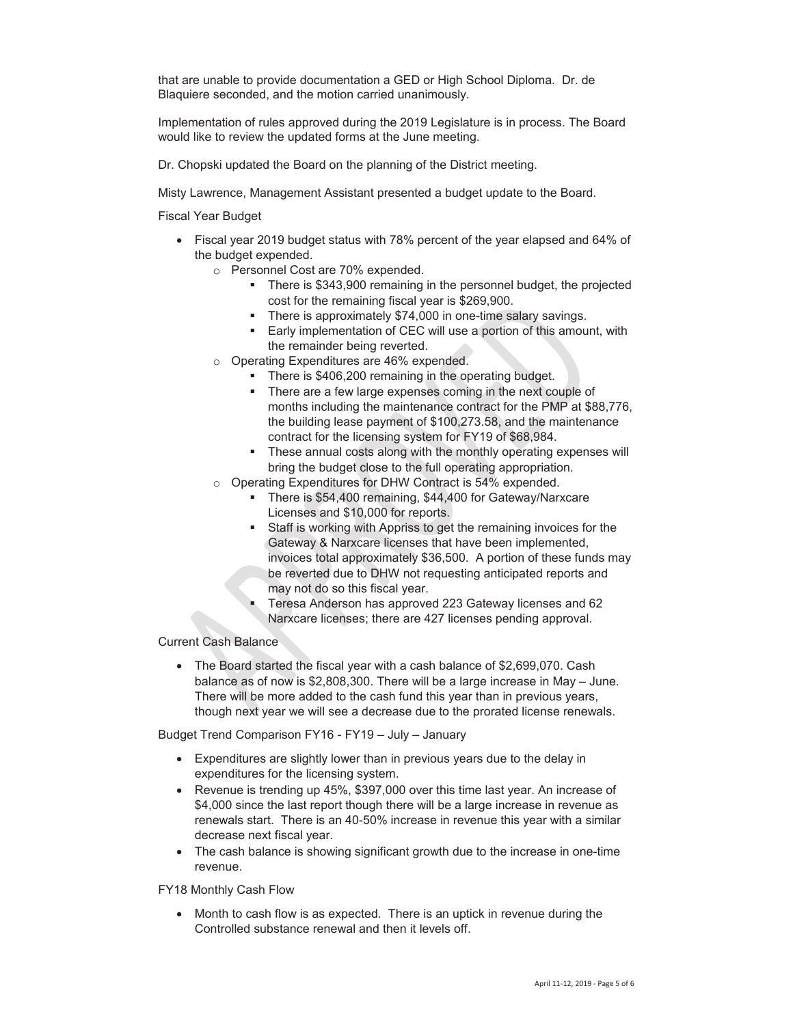that are unable to provide documentation a GED or High School Diploma. Dr. de Blaquiere seconded, and the motion carried unanimously.

Implementation of rules approved during the 2019 Legislature is in process. The Board would like to review the updated forms at the June meeting.

Dr. Chopski updated the Board on the planning of the District meeting.

Misty Lawrence, Management Assistant presented a budget update to the Board.

Fiscal Year Budget

- Fiscal year 2019 budget status with 78% percent of the year elapsed and 64% of the budget expended.
	- o Personnel Cost are 70% expended.
		- There is \$343,900 remaining in the personnel budget, the projected cost for the remaining fiscal year is \$269,900.
		- **There is approximately \$74,000 in one-time salary savings.**
		- Early implementation of CEC will use a portion of this amount, with the remainder being reverted.
	- o Operating Expenditures are 46% expended.
		- There is \$406,200 remaining in the operating budget.
		- **There are a few large expenses coming in the next couple of** months including the maintenance contract for the PMP at \$88,776, the building lease payment of \$100,273.58, and the maintenance contract for the licensing system for FY19 of \$68,984.
		- These annual costs along with the monthly operating expenses will bring the budget close to the full operating appropriation.
	- o Operating Expenditures for DHW Contract is 54% expended.
		- There is \$54,400 remaining, \$44,400 for Gateway/Narxcare Licenses and \$10,000 for reports.
		- Staff is working with Appriss to get the remaining invoices for the Gateway & Narxcare licenses that have been implemented, invoices total approximately \$36,500. A portion of these funds may be reverted due to DHW not requesting anticipated reports and may not do so this fiscal year.
		- Teresa Anderson has approved 223 Gateway licenses and 62 Narxcare licenses; there are 427 licenses pending approval.

## Current Cash Balance

• The Board started the fiscal year with a cash balance of \$2,699,070. Cash balance as of now is \$2,808,300. There will be a large increase in May – June. There will be more added to the cash fund this year than in previous years, though next year we will see a decrease due to the prorated license renewals.

Budget Trend Comparison FY16 - FY19 – July – January

- Expenditures are slightly lower than in previous years due to the delay in expenditures for the licensing system.
- Revenue is trending up 45%, \$397,000 over this time last year. An increase of \$4,000 since the last report though there will be a large increase in revenue as renewals start. There is an 40-50% increase in revenue this year with a similar decrease next fiscal year.
- The cash balance is showing significant growth due to the increase in one-time revenue.

FY18 Monthly Cash Flow

Month to cash flow is as expected. There is an uptick in revenue during the Controlled substance renewal and then it levels off.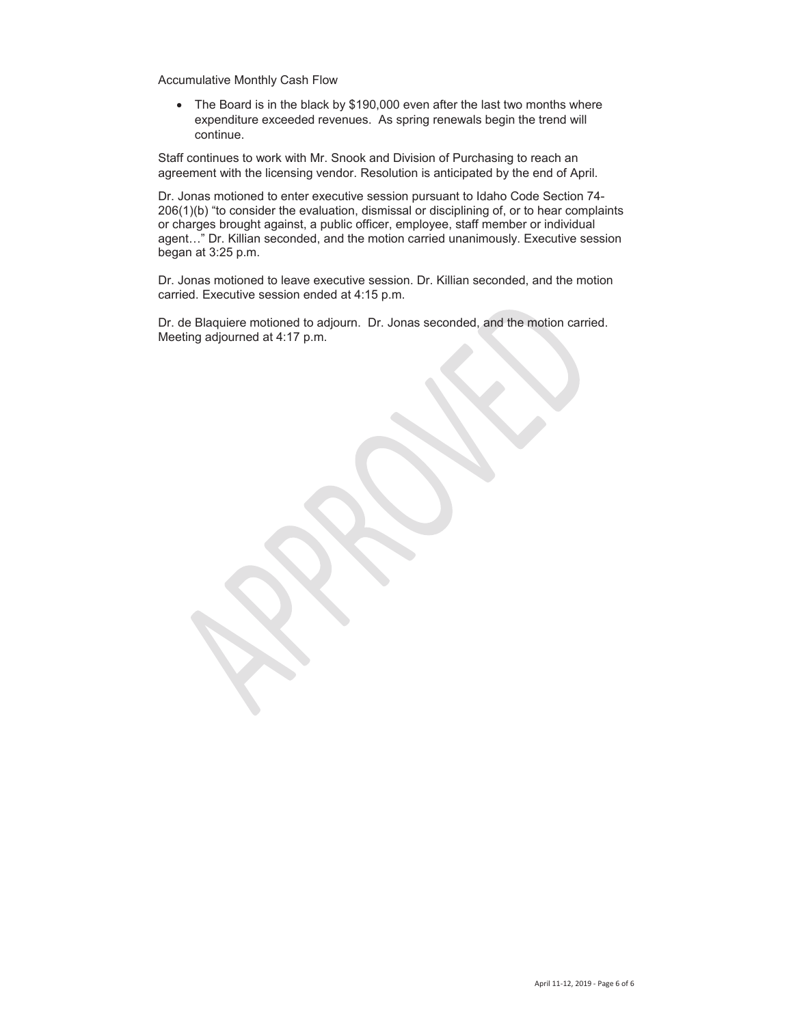Accumulative Monthly Cash Flow

• The Board is in the black by \$190,000 even after the last two months where expenditure exceeded revenues. As spring renewals begin the trend will continue.

Staff continues to work with Mr. Snook and Division of Purchasing to reach an agreement with the licensing vendor. Resolution is anticipated by the end of April.

Dr. Jonas motioned to enter executive session pursuant to Idaho Code Section 74- 206(1)(b) "to consider the evaluation, dismissal or disciplining of, or to hear complaints or charges brought against, a public officer, employee, staff member or individual agent…" Dr. Killian seconded, and the motion carried unanimously. Executive session began at 3:25 p.m.

Dr. Jonas motioned to leave executive session. Dr. Killian seconded, and the motion carried. Executive session ended at 4:15 p.m.

Dr. de Blaquiere motioned to adjourn. Dr. Jonas seconded, and the motion carried. Meeting adjourned at 4:17 p.m.

April 11-12, 2019 - Page 6 of 6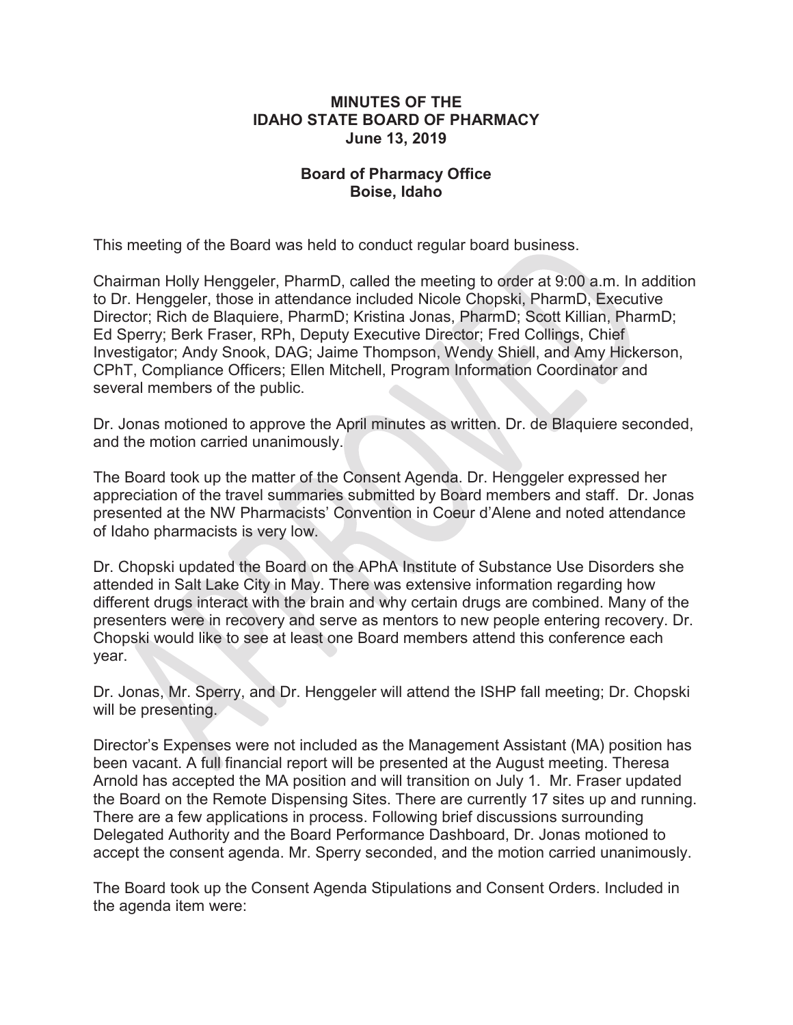## **MINUTES OF THE IDAHO STATE BOARD OF PHARMACY June 13, 2019**

# **Board of Pharmacy Office Boise, Idaho**

This meeting of the Board was held to conduct regular board business.

Chairman Holly Henggeler, PharmD, called the meeting to order at 9:00 a.m. In addition to Dr. Henggeler, those in attendance included Nicole Chopski, PharmD, Executive Director; Rich de Blaquiere, PharmD; Kristina Jonas, PharmD; Scott Killian, PharmD; Ed Sperry; Berk Fraser, RPh, Deputy Executive Director; Fred Collings, Chief Investigator; Andy Snook, DAG; Jaime Thompson, Wendy Shiell, and Amy Hickerson, CPhT, Compliance Officers; Ellen Mitchell, Program Information Coordinator and several members of the public.

Dr. Jonas motioned to approve the April minutes as written. Dr. de Blaquiere seconded, and the motion carried unanimously.

The Board took up the matter of the Consent Agenda. Dr. Henggeler expressed her appreciation of the travel summaries submitted by Board members and staff. Dr. Jonas presented at the NW Pharmacists' Convention in Coeur d'Alene and noted attendance of Idaho pharmacists is very low.

Dr. Chopski updated the Board on the APhA Institute of Substance Use Disorders she attended in Salt Lake City in May. There was extensive information regarding how different drugs interact with the brain and why certain drugs are combined. Many of the presenters were in recovery and serve as mentors to new people entering recovery. Dr. Chopski would like to see at least one Board members attend this conference each year.

Dr. Jonas, Mr. Sperry, and Dr. Henggeler will attend the ISHP fall meeting; Dr. Chopski will be presenting.

Director's Expenses were not included as the Management Assistant (MA) position has been vacant. A full financial report will be presented at the August meeting. Theresa Arnold has accepted the MA position and will transition on July 1. Mr. Fraser updated the Board on the Remote Dispensing Sites. There are currently 17 sites up and running. There are a few applications in process. Following brief discussions surrounding Delegated Authority and the Board Performance Dashboard, Dr. Jonas motioned to accept the consent agenda. Mr. Sperry seconded, and the motion carried unanimously.

The Board took up the Consent Agenda Stipulations and Consent Orders. Included in the agenda item were: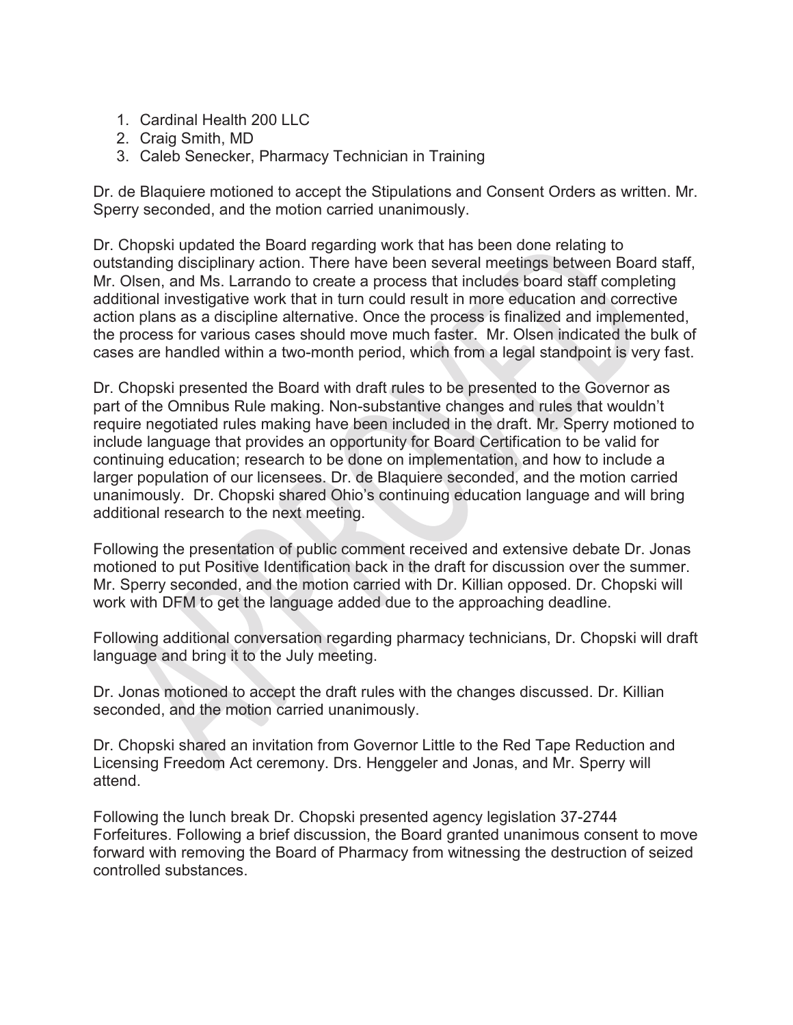- 1. Cardinal Health 200 LLC
- 2. Craig Smith, MD
- 3. Caleb Senecker, Pharmacy Technician in Training

Dr. de Blaquiere motioned to accept the Stipulations and Consent Orders as written. Mr. Sperry seconded, and the motion carried unanimously.

Dr. Chopski updated the Board regarding work that has been done relating to outstanding disciplinary action. There have been several meetings between Board staff, Mr. Olsen, and Ms. Larrando to create a process that includes board staff completing additional investigative work that in turn could result in more education and corrective action plans as a discipline alternative. Once the process is finalized and implemented, the process for various cases should move much faster. Mr. Olsen indicated the bulk of cases are handled within a two-month period, which from a legal standpoint is very fast.

Dr. Chopski presented the Board with draft rules to be presented to the Governor as part of the Omnibus Rule making. Non-substantive changes and rules that wouldn't require negotiated rules making have been included in the draft. Mr. Sperry motioned to include language that provides an opportunity for Board Certification to be valid for continuing education; research to be done on implementation, and how to include a larger population of our licensees. Dr. de Blaquiere seconded, and the motion carried unanimously. Dr. Chopski shared Ohio's continuing education language and will bring additional research to the next meeting.

Following the presentation of public comment received and extensive debate Dr. Jonas motioned to put Positive Identification back in the draft for discussion over the summer. Mr. Sperry seconded, and the motion carried with Dr. Killian opposed. Dr. Chopski will work with DFM to get the language added due to the approaching deadline.

Following additional conversation regarding pharmacy technicians, Dr. Chopski will draft language and bring it to the July meeting.

Dr. Jonas motioned to accept the draft rules with the changes discussed. Dr. Killian seconded, and the motion carried unanimously.

Dr. Chopski shared an invitation from Governor Little to the Red Tape Reduction and Licensing Freedom Act ceremony. Drs. Henggeler and Jonas, and Mr. Sperry will attend.

Following the lunch break Dr. Chopski presented agency legislation 37-2744 Forfeitures. Following a brief discussion, the Board granted unanimous consent to move forward with removing the Board of Pharmacy from witnessing the destruction of seized controlled substances.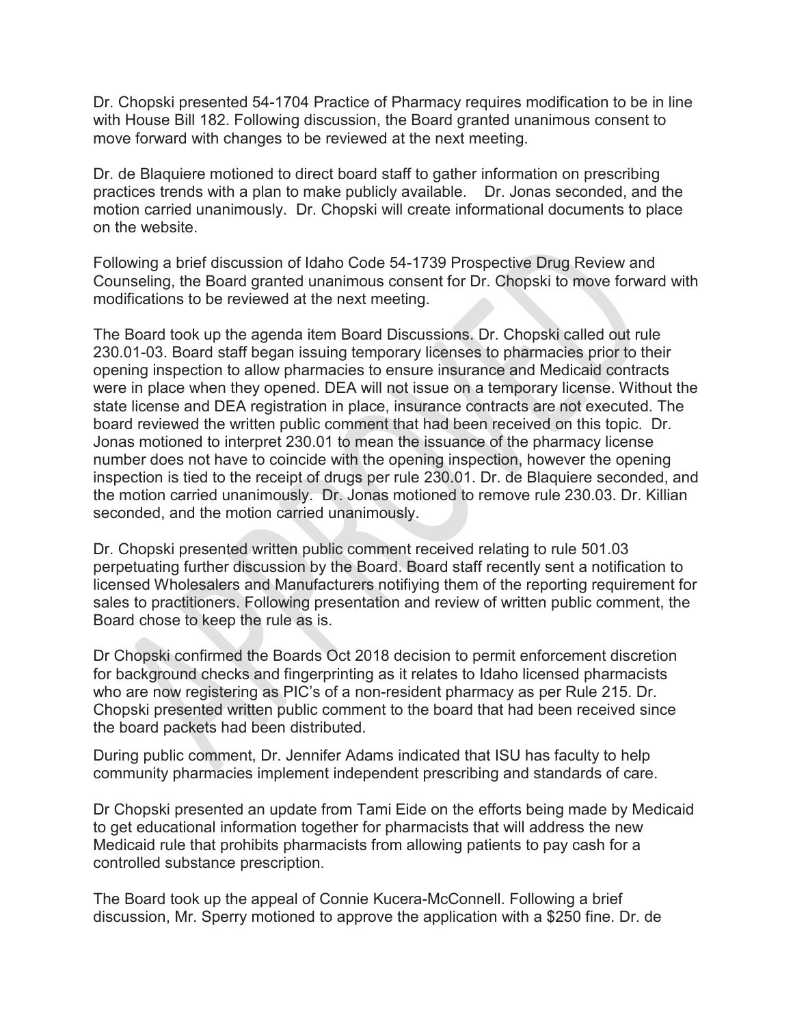Dr. Chopski presented 54-1704 Practice of Pharmacy requires modification to be in line with House Bill 182. Following discussion, the Board granted unanimous consent to move forward with changes to be reviewed at the next meeting.

Dr. de Blaquiere motioned to direct board staff to gather information on prescribing practices trends with a plan to make publicly available. Dr. Jonas seconded, and the motion carried unanimously. Dr. Chopski will create informational documents to place on the website.

Following a brief discussion of Idaho Code 54-1739 Prospective Drug Review and Counseling, the Board granted unanimous consent for Dr. Chopski to move forward with modifications to be reviewed at the next meeting.

The Board took up the agenda item Board Discussions. Dr. Chopski called out rule 230.01-03. Board staff began issuing temporary licenses to pharmacies prior to their opening inspection to allow pharmacies to ensure insurance and Medicaid contracts were in place when they opened. DEA will not issue on a temporary license. Without the state license and DEA registration in place, insurance contracts are not executed. The board reviewed the written public comment that had been received on this topic. Dr. Jonas motioned to interpret 230.01 to mean the issuance of the pharmacy license number does not have to coincide with the opening inspection, however the opening inspection is tied to the receipt of drugs per rule 230.01. Dr. de Blaquiere seconded, and the motion carried unanimously. Dr. Jonas motioned to remove rule 230.03. Dr. Killian seconded, and the motion carried unanimously.

Dr. Chopski presented written public comment received relating to rule 501.03 perpetuating further discussion by the Board. Board staff recently sent a notification to licensed Wholesalers and Manufacturers notifiying them of the reporting requirement for sales to practitioners. Following presentation and review of written public comment, the Board chose to keep the rule as is.

Dr Chopski confirmed the Boards Oct 2018 decision to permit enforcement discretion for background checks and fingerprinting as it relates to Idaho licensed pharmacists who are now registering as PIC's of a non-resident pharmacy as per Rule 215. Dr. Chopski presented written public comment to the board that had been received since the board packets had been distributed.

During public comment, Dr. Jennifer Adams indicated that ISU has faculty to help community pharmacies implement independent prescribing and standards of care.

Dr Chopski presented an update from Tami Eide on the efforts being made by Medicaid to get educational information together for pharmacists that will address the new Medicaid rule that prohibits pharmacists from allowing patients to pay cash for a controlled substance prescription.

The Board took up the appeal of Connie Kucera-McConnell. Following a brief discussion, Mr. Sperry motioned to approve the application with a \$250 fine. Dr. de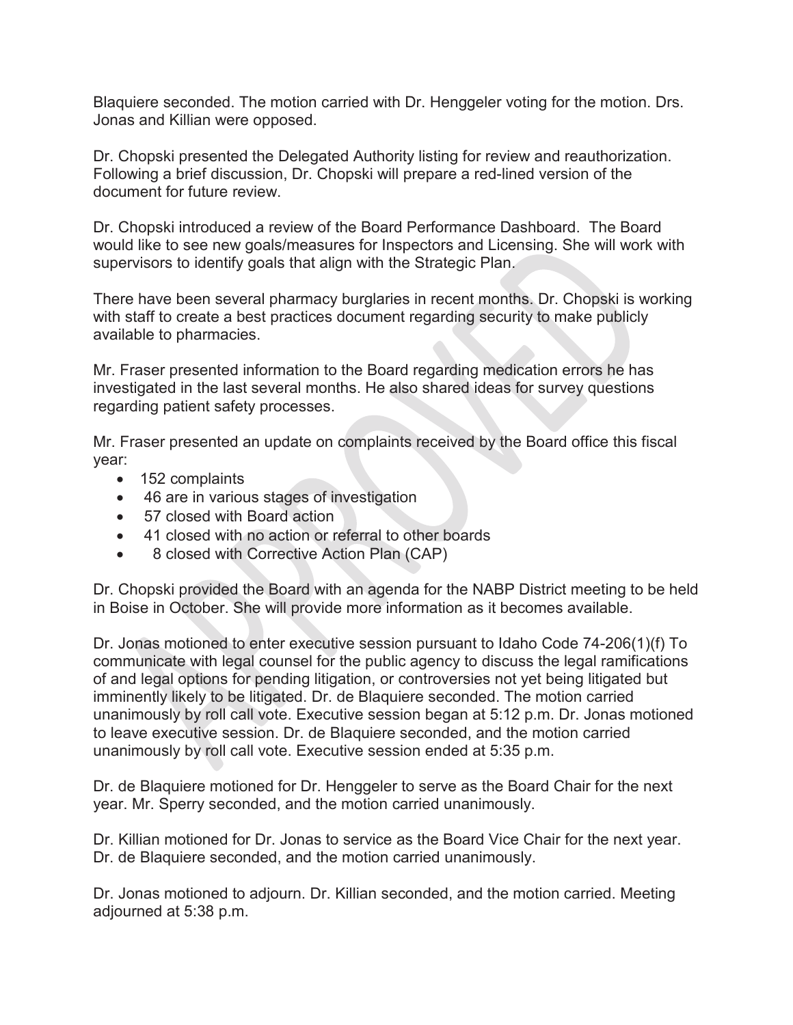Blaquiere seconded. The motion carried with Dr. Henggeler voting for the motion. Drs. Jonas and Killian were opposed.

Dr. Chopski presented the Delegated Authority listing for review and reauthorization. Following a brief discussion, Dr. Chopski will prepare a red-lined version of the document for future review.

Dr. Chopski introduced a review of the Board Performance Dashboard. The Board would like to see new goals/measures for Inspectors and Licensing. She will work with supervisors to identify goals that align with the Strategic Plan.

There have been several pharmacy burglaries in recent months. Dr. Chopski is working with staff to create a best practices document regarding security to make publicly available to pharmacies.

Mr. Fraser presented information to the Board regarding medication errors he has investigated in the last several months. He also shared ideas for survey questions regarding patient safety processes.

Mr. Fraser presented an update on complaints received by the Board office this fiscal year:

- $\bullet$  152 complaints
- 46 are in various stages of investigation
- $\bullet$  57 closed with Board action
- 41 closed with no action or referral to other boards
- 8 closed with Corrective Action Plan (CAP)

Dr. Chopski provided the Board with an agenda for the NABP District meeting to be held in Boise in October. She will provide more information as it becomes available.

Dr. Jonas motioned to enter executive session pursuant to Idaho Code 74-206(1)(f) To communicate with legal counsel for the public agency to discuss the legal ramifications of and legal options for pending litigation, or controversies not yet being litigated but imminently likely to be litigated. Dr. de Blaquiere seconded. The motion carried unanimously by roll call vote. Executive session began at 5:12 p.m. Dr. Jonas motioned to leave executive session. Dr. de Blaquiere seconded, and the motion carried unanimously by roll call vote. Executive session ended at 5:35 p.m.

Dr. de Blaquiere motioned for Dr. Henggeler to serve as the Board Chair for the next year. Mr. Sperry seconded, and the motion carried unanimously.

Dr. Killian motioned for Dr. Jonas to service as the Board Vice Chair for the next year. Dr. de Blaquiere seconded, and the motion carried unanimously.

Dr. Jonas motioned to adjourn. Dr. Killian seconded, and the motion carried. Meeting adjourned at 5:38 p.m.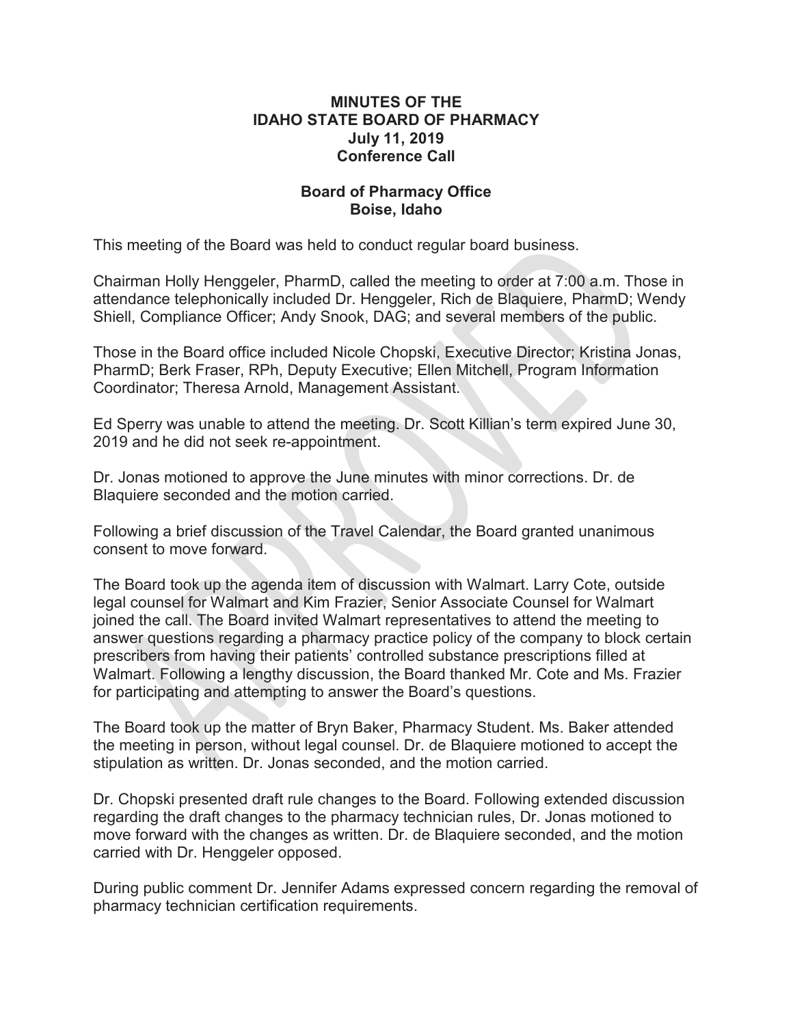## **MINUTES OF THE IDAHO STATE BOARD OF PHARMACY July 11, 2019 Conference Call**

# **Board of Pharmacy Office Boise, Idaho**

This meeting of the Board was held to conduct regular board business.

Chairman Holly Henggeler, PharmD, called the meeting to order at 7:00 a.m. Those in attendance telephonically included Dr. Henggeler, Rich de Blaquiere, PharmD; Wendy Shiell, Compliance Officer; Andy Snook, DAG; and several members of the public.

Those in the Board office included Nicole Chopski, Executive Director; Kristina Jonas, PharmD; Berk Fraser, RPh, Deputy Executive; Ellen Mitchell, Program Information Coordinator; Theresa Arnold, Management Assistant.

Ed Sperry was unable to attend the meeting. Dr. Scott Killian's term expired June 30, 2019 and he did not seek re-appointment.

Dr. Jonas motioned to approve the June minutes with minor corrections. Dr. de Blaquiere seconded and the motion carried.

Following a brief discussion of the Travel Calendar, the Board granted unanimous consent to move forward.

The Board took up the agenda item of discussion with Walmart. Larry Cote, outside legal counsel for Walmart and Kim Frazier, Senior Associate Counsel for Walmart joined the call. The Board invited Walmart representatives to attend the meeting to answer questions regarding a pharmacy practice policy of the company to block certain prescribers from having their patients' controlled substance prescriptions filled at Walmart. Following a lengthy discussion, the Board thanked Mr. Cote and Ms. Frazier for participating and attempting to answer the Board's questions.

The Board took up the matter of Bryn Baker, Pharmacy Student. Ms. Baker attended the meeting in person, without legal counsel. Dr. de Blaquiere motioned to accept the stipulation as written. Dr. Jonas seconded, and the motion carried.

Dr. Chopski presented draft rule changes to the Board. Following extended discussion regarding the draft changes to the pharmacy technician rules, Dr. Jonas motioned to move forward with the changes as written. Dr. de Blaquiere seconded, and the motion carried with Dr. Henggeler opposed.

During public comment Dr. Jennifer Adams expressed concern regarding the removal of pharmacy technician certification requirements.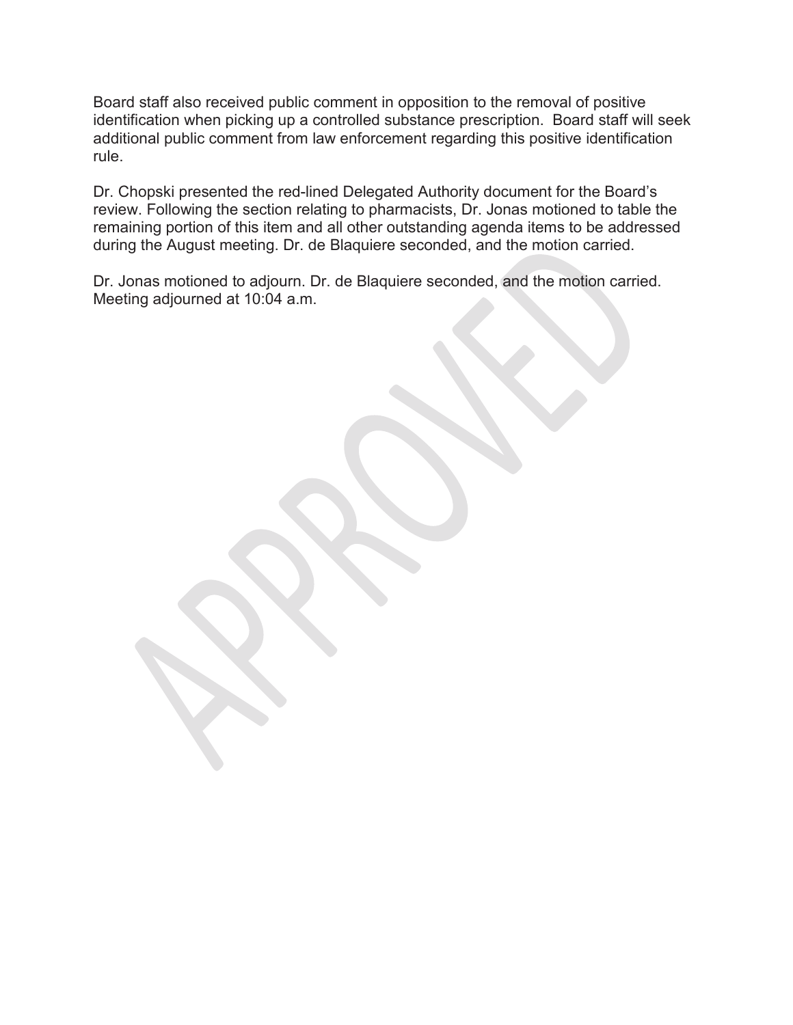Board staff also received public comment in opposition to the removal of positive identification when picking up a controlled substance prescription. Board staff will seek additional public comment from law enforcement regarding this positive identification rule.

Dr. Chopski presented the red-lined Delegated Authority document for the Board's review. Following the section relating to pharmacists, Dr. Jonas motioned to table the remaining portion of this item and all other outstanding agenda items to be addressed during the August meeting. Dr. de Blaquiere seconded, and the motion carried.

Dr. Jonas motioned to adjourn. Dr. de Blaquiere seconded, and the motion carried. Meeting adjourned at 10:04 a.m.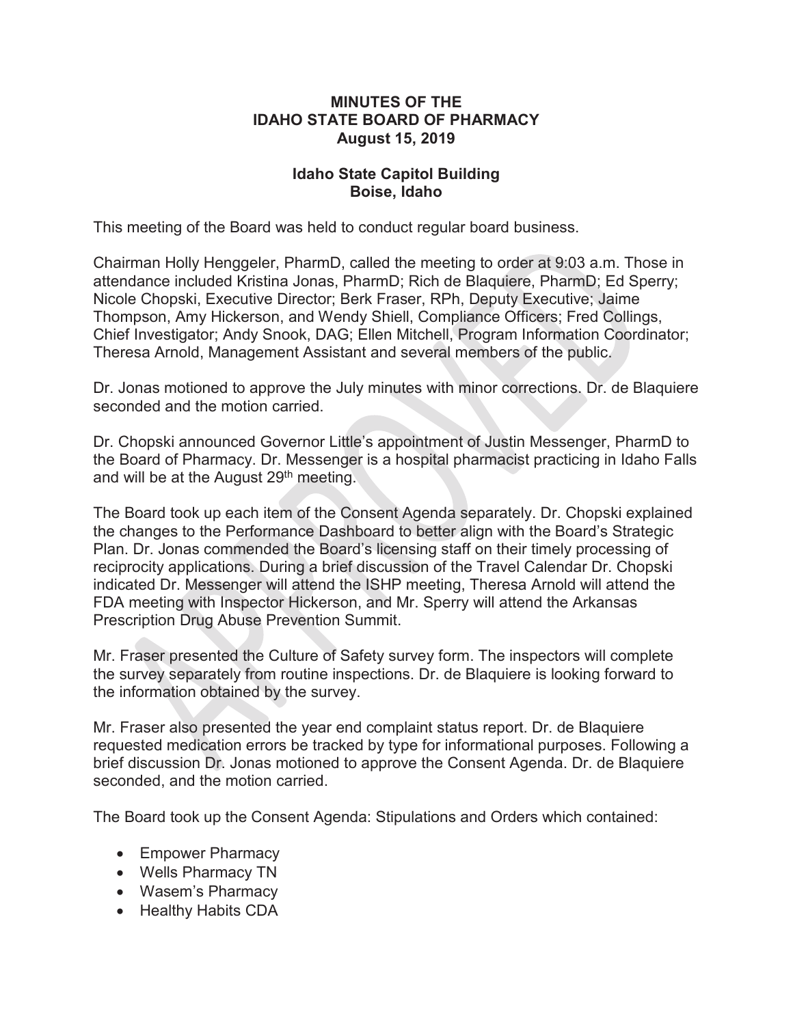## **MINUTES OF THE IDAHO STATE BOARD OF PHARMACY August 15, 2019**

# **Idaho State Capitol Building Boise, Idaho**

This meeting of the Board was held to conduct regular board business.

Chairman Holly Henggeler, PharmD, called the meeting to order at 9:03 a.m. Those in attendance included Kristina Jonas, PharmD; Rich de Blaquiere, PharmD; Ed Sperry; Nicole Chopski, Executive Director; Berk Fraser, RPh, Deputy Executive; Jaime Thompson, Amy Hickerson, and Wendy Shiell, Compliance Officers; Fred Collings, Chief Investigator; Andy Snook, DAG; Ellen Mitchell, Program Information Coordinator; Theresa Arnold, Management Assistant and several members of the public.

Dr. Jonas motioned to approve the July minutes with minor corrections. Dr. de Blaquiere seconded and the motion carried.

Dr. Chopski announced Governor Little's appointment of Justin Messenger, PharmD to the Board of Pharmacy. Dr. Messenger is a hospital pharmacist practicing in Idaho Falls and will be at the August 29<sup>th</sup> meeting.

The Board took up each item of the Consent Agenda separately. Dr. Chopski explained the changes to the Performance Dashboard to better align with the Board's Strategic Plan. Dr. Jonas commended the Board's licensing staff on their timely processing of reciprocity applications. During a brief discussion of the Travel Calendar Dr. Chopski indicated Dr. Messenger will attend the ISHP meeting, Theresa Arnold will attend the FDA meeting with Inspector Hickerson, and Mr. Sperry will attend the Arkansas Prescription Drug Abuse Prevention Summit.

Mr. Fraser presented the Culture of Safety survey form. The inspectors will complete the survey separately from routine inspections. Dr. de Blaquiere is looking forward to the information obtained by the survey.

Mr. Fraser also presented the year end complaint status report. Dr. de Blaquiere requested medication errors be tracked by type for informational purposes. Following a brief discussion Dr. Jonas motioned to approve the Consent Agenda. Dr. de Blaquiere seconded, and the motion carried.

The Board took up the Consent Agenda: Stipulations and Orders which contained:

- Empower Pharmacy
- Wells Pharmacy TN
- Wasem's Pharmacy
- Healthy Habits CDA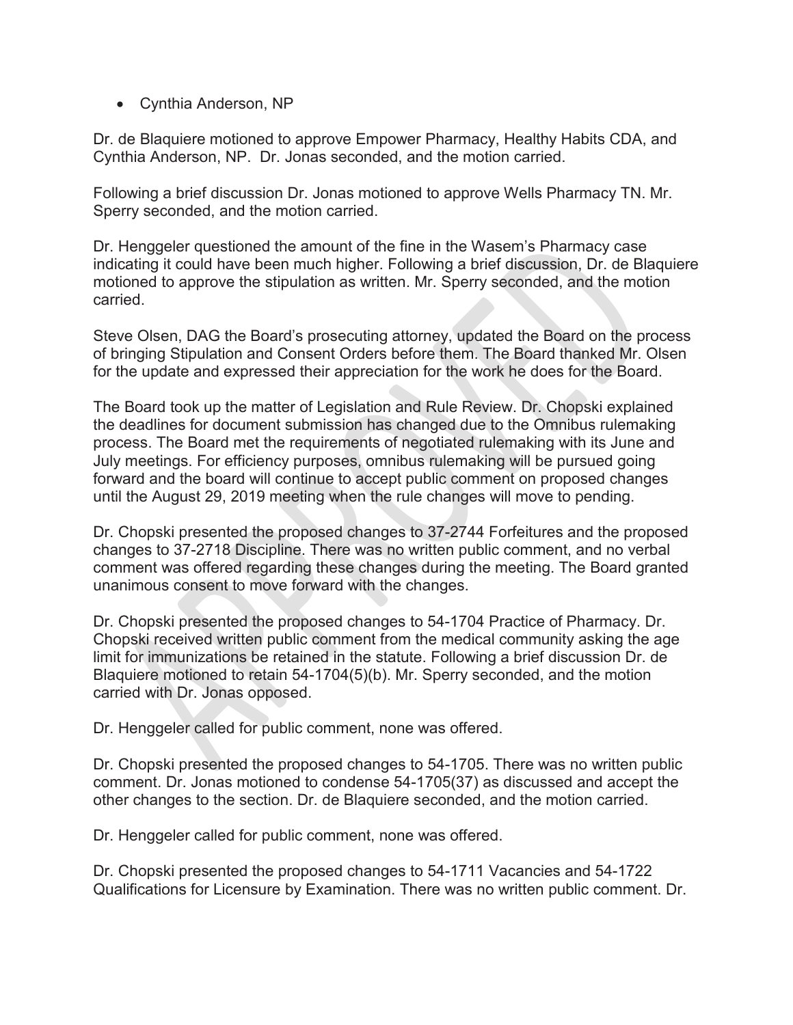• Cynthia Anderson, NP

Dr. de Blaquiere motioned to approve Empower Pharmacy, Healthy Habits CDA, and Cynthia Anderson, NP. Dr. Jonas seconded, and the motion carried.

Following a brief discussion Dr. Jonas motioned to approve Wells Pharmacy TN. Mr. Sperry seconded, and the motion carried.

Dr. Henggeler questioned the amount of the fine in the Wasem's Pharmacy case indicating it could have been much higher. Following a brief discussion, Dr. de Blaquiere motioned to approve the stipulation as written. Mr. Sperry seconded, and the motion carried.

Steve Olsen, DAG the Board's prosecuting attorney, updated the Board on the process of bringing Stipulation and Consent Orders before them. The Board thanked Mr. Olsen for the update and expressed their appreciation for the work he does for the Board.

The Board took up the matter of Legislation and Rule Review. Dr. Chopski explained the deadlines for document submission has changed due to the Omnibus rulemaking process. The Board met the requirements of negotiated rulemaking with its June and July meetings. For efficiency purposes, omnibus rulemaking will be pursued going forward and the board will continue to accept public comment on proposed changes until the August 29, 2019 meeting when the rule changes will move to pending.

Dr. Chopski presented the proposed changes to 37-2744 Forfeitures and the proposed changes to 37-2718 Discipline. There was no written public comment, and no verbal comment was offered regarding these changes during the meeting. The Board granted unanimous consent to move forward with the changes.

Dr. Chopski presented the proposed changes to 54-1704 Practice of Pharmacy. Dr. Chopski received written public comment from the medical community asking the age limit for immunizations be retained in the statute. Following a brief discussion Dr. de Blaquiere motioned to retain 54-1704(5)(b). Mr. Sperry seconded, and the motion carried with Dr. Jonas opposed.

Dr. Henggeler called for public comment, none was offered.

Dr. Chopski presented the proposed changes to 54-1705. There was no written public comment. Dr. Jonas motioned to condense 54-1705(37) as discussed and accept the other changes to the section. Dr. de Blaquiere seconded, and the motion carried.

Dr. Henggeler called for public comment, none was offered.

Dr. Chopski presented the proposed changes to 54-1711 Vacancies and 54-1722 Qualifications for Licensure by Examination. There was no written public comment. Dr.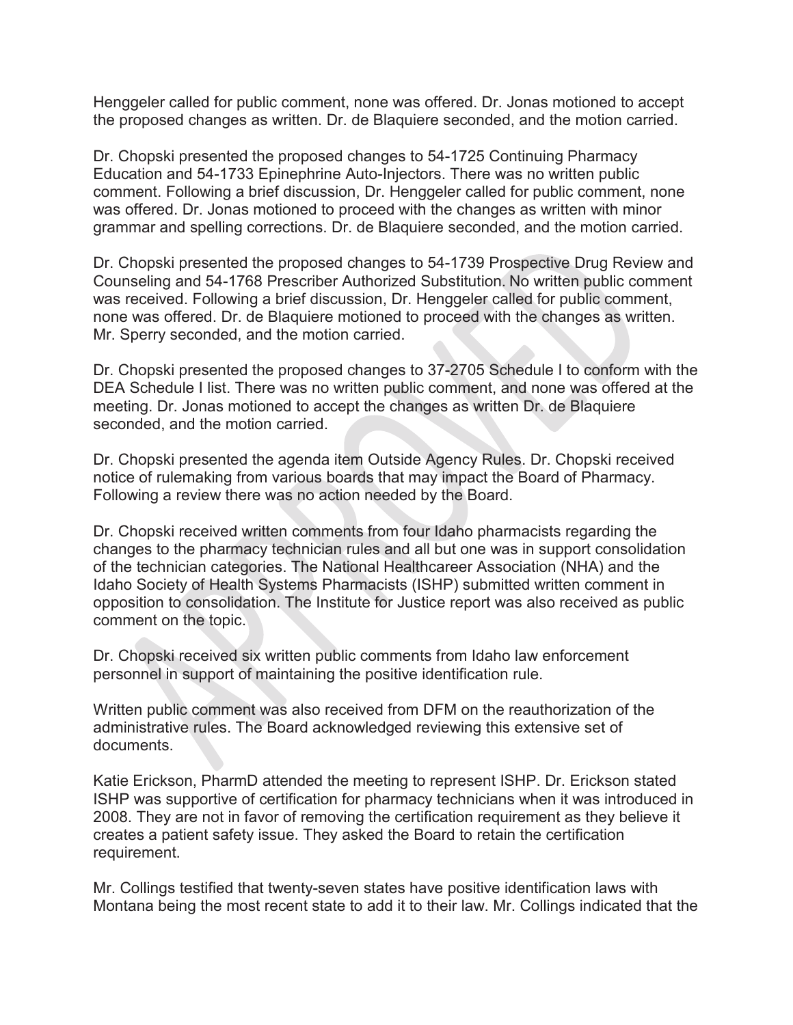Henggeler called for public comment, none was offered. Dr. Jonas motioned to accept the proposed changes as written. Dr. de Blaquiere seconded, and the motion carried.

Dr. Chopski presented the proposed changes to 54-1725 Continuing Pharmacy Education and 54-1733 Epinephrine Auto-Injectors. There was no written public comment. Following a brief discussion, Dr. Henggeler called for public comment, none was offered. Dr. Jonas motioned to proceed with the changes as written with minor grammar and spelling corrections. Dr. de Blaquiere seconded, and the motion carried.

Dr. Chopski presented the proposed changes to 54-1739 Prospective Drug Review and Counseling and 54-1768 Prescriber Authorized Substitution. No written public comment was received. Following a brief discussion, Dr. Henggeler called for public comment, none was offered. Dr. de Blaquiere motioned to proceed with the changes as written. Mr. Sperry seconded, and the motion carried.

Dr. Chopski presented the proposed changes to 37-2705 Schedule I to conform with the DEA Schedule I list. There was no written public comment, and none was offered at the meeting. Dr. Jonas motioned to accept the changes as written Dr. de Blaquiere seconded, and the motion carried.

Dr. Chopski presented the agenda item Outside Agency Rules. Dr. Chopski received notice of rulemaking from various boards that may impact the Board of Pharmacy. Following a review there was no action needed by the Board.

Dr. Chopski received written comments from four Idaho pharmacists regarding the changes to the pharmacy technician rules and all but one was in support consolidation of the technician categories. The National Healthcareer Association (NHA) and the Idaho Society of Health Systems Pharmacists (ISHP) submitted written comment in opposition to consolidation. The Institute for Justice report was also received as public comment on the topic.

Dr. Chopski received six written public comments from Idaho law enforcement personnel in support of maintaining the positive identification rule.

Written public comment was also received from DFM on the reauthorization of the administrative rules. The Board acknowledged reviewing this extensive set of documents.

Katie Erickson, PharmD attended the meeting to represent ISHP. Dr. Erickson stated ISHP was supportive of certification for pharmacy technicians when it was introduced in 2008. They are not in favor of removing the certification requirement as they believe it creates a patient safety issue. They asked the Board to retain the certification requirement.

Mr. Collings testified that twenty-seven states have positive identification laws with Montana being the most recent state to add it to their law. Mr. Collings indicated that the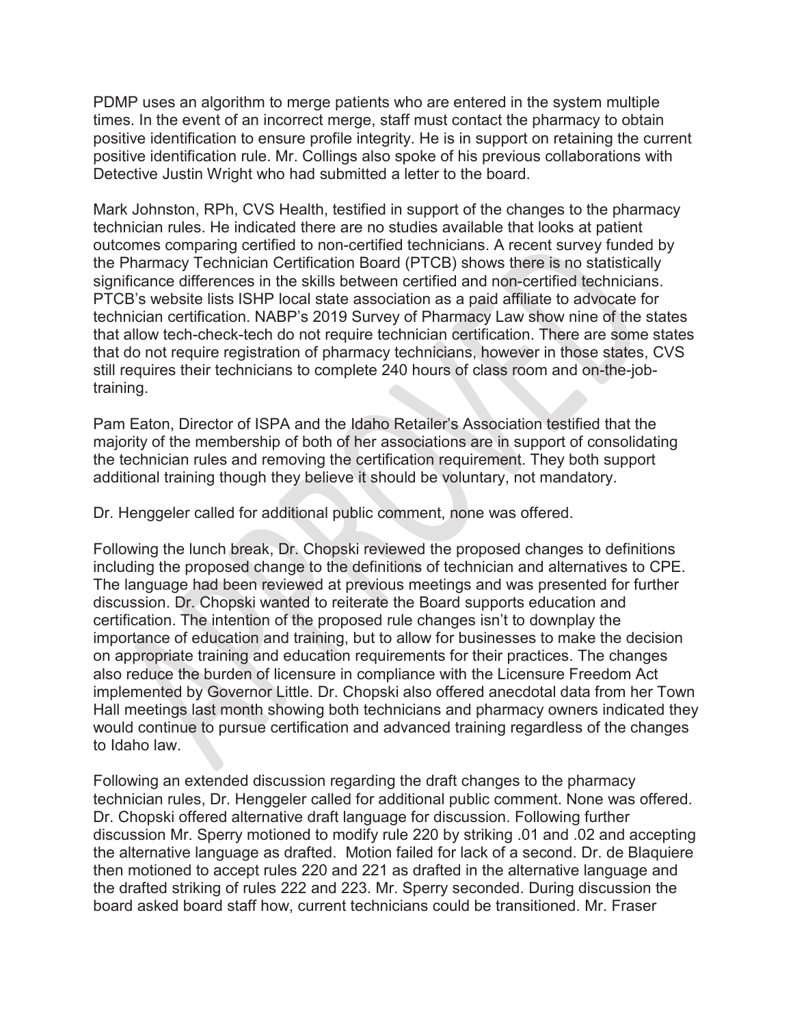PDMP uses an algorithm to merge patients who are entered in the system multiple times. In the event of an incorrect merge, staff must contact the pharmacy to obtain positive identification to ensure profile integrity. He is in support on retaining the current positive identification rule. Mr. Collings also spoke of his previous collaborations with Detective Justin Wright who had submitted a letter to the board.

Mark Johnston, RPh, CVS Health, testified in support of the changes to the pharmacy technician rules. He indicated there are no studies available that looks at patient outcomes comparing certified to non-certified technicians. A recent survey funded by the Pharmacy Technician Certification Board (PTCB) shows there is no statistically significance differences in the skills between certified and non-certified technicians. PTCB's website lists ISHP local state association as a paid affiliate to advocate for technician certification. NABP's 2019 Survey of Pharmacy Law show nine of the states that allow tech-check-tech do not require technician certification. There are some states that do not require registration of pharmacy technicians, however in those states, CVS still requires their technicians to complete 240 hours of class room and on-the-jobtraining.

Pam Eaton, Director of ISPA and the Idaho Retailer's Association testified that the majority of the membership of both of her associations are in support of consolidating the technician rules and removing the certification requirement. They both support additional training though they believe it should be voluntary, not mandatory.

Dr. Henggeler called for additional public comment, none was offered.

Following the lunch break, Dr. Chopski reviewed the proposed changes to definitions including the proposed change to the definitions of technician and alternatives to CPE. The language had been reviewed at previous meetings and was presented for further discussion. Dr. Chopski wanted to reiterate the Board supports education and certification. The intention of the proposed rule changes isn't to downplay the importance of education and training, but to allow for businesses to make the decision on appropriate training and education requirements for their practices. The changes also reduce the burden of licensure in compliance with the Licensure Freedom Act implemented by Governor Little. Dr. Chopski also offered anecdotal data from her Town Hall meetings last month showing both technicians and pharmacy owners indicated they would continue to pursue certification and advanced training regardless of the changes to Idaho law.

Following an extended discussion regarding the draft changes to the pharmacy technician rules, Dr. Henggeler called for additional public comment. None was offered. Dr. Chopski offered alternative draft language for discussion. Following further discussion Mr. Sperry motioned to modify rule 220 by striking .01 and .02 and accepting the alternative language as drafted. Motion failed for lack of a second. Dr. de Blaquiere then motioned to accept rules 220 and 221 as drafted in the alternative language and the drafted striking of rules 222 and 223. Mr. Sperry seconded. During discussion the board asked board staff how, current technicians could be transitioned. Mr. Fraser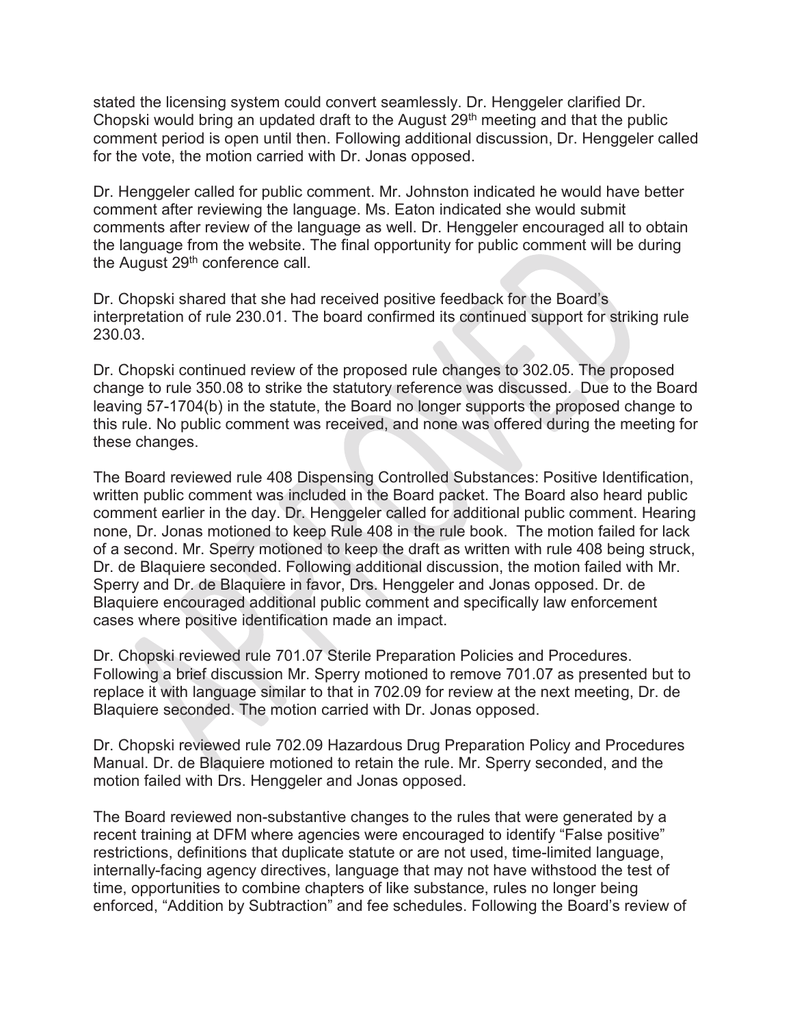stated the licensing system could convert seamlessly. Dr. Henggeler clarified Dr. Chopski would bring an updated draft to the August 29<sup>th</sup> meeting and that the public comment period is open until then. Following additional discussion, Dr. Henggeler called for the vote, the motion carried with Dr. Jonas opposed.

Dr. Henggeler called for public comment. Mr. Johnston indicated he would have better comment after reviewing the language. Ms. Eaton indicated she would submit comments after review of the language as well. Dr. Henggeler encouraged all to obtain the language from the website. The final opportunity for public comment will be during the August 29<sup>th</sup> conference call.

Dr. Chopski shared that she had received positive feedback for the Board's interpretation of rule 230.01. The board confirmed its continued support for striking rule 230.03.

Dr. Chopski continued review of the proposed rule changes to 302.05. The proposed change to rule 350.08 to strike the statutory reference was discussed. Due to the Board leaving 57-1704(b) in the statute, the Board no longer supports the proposed change to this rule. No public comment was received, and none was offered during the meeting for these changes.

The Board reviewed rule 408 Dispensing Controlled Substances: Positive Identification, written public comment was included in the Board packet. The Board also heard public comment earlier in the day. Dr. Henggeler called for additional public comment. Hearing none, Dr. Jonas motioned to keep Rule 408 in the rule book. The motion failed for lack of a second. Mr. Sperry motioned to keep the draft as written with rule 408 being struck, Dr. de Blaquiere seconded. Following additional discussion, the motion failed with Mr. Sperry and Dr. de Blaquiere in favor, Drs. Henggeler and Jonas opposed. Dr. de Blaquiere encouraged additional public comment and specifically law enforcement cases where positive identification made an impact.

Dr. Chopski reviewed rule 701.07 Sterile Preparation Policies and Procedures. Following a brief discussion Mr. Sperry motioned to remove 701.07 as presented but to replace it with language similar to that in 702.09 for review at the next meeting, Dr. de Blaquiere seconded. The motion carried with Dr. Jonas opposed.

Dr. Chopski reviewed rule 702.09 Hazardous Drug Preparation Policy and Procedures Manual. Dr. de Blaquiere motioned to retain the rule. Mr. Sperry seconded, and the motion failed with Drs. Henggeler and Jonas opposed.

The Board reviewed non-substantive changes to the rules that were generated by a recent training at DFM where agencies were encouraged to identify "False positive" restrictions, definitions that duplicate statute or are not used, time-limited language, internally-facing agency directives, language that may not have withstood the test of time, opportunities to combine chapters of like substance, rules no longer being enforced, "Addition by Subtraction" and fee schedules. Following the Board's review of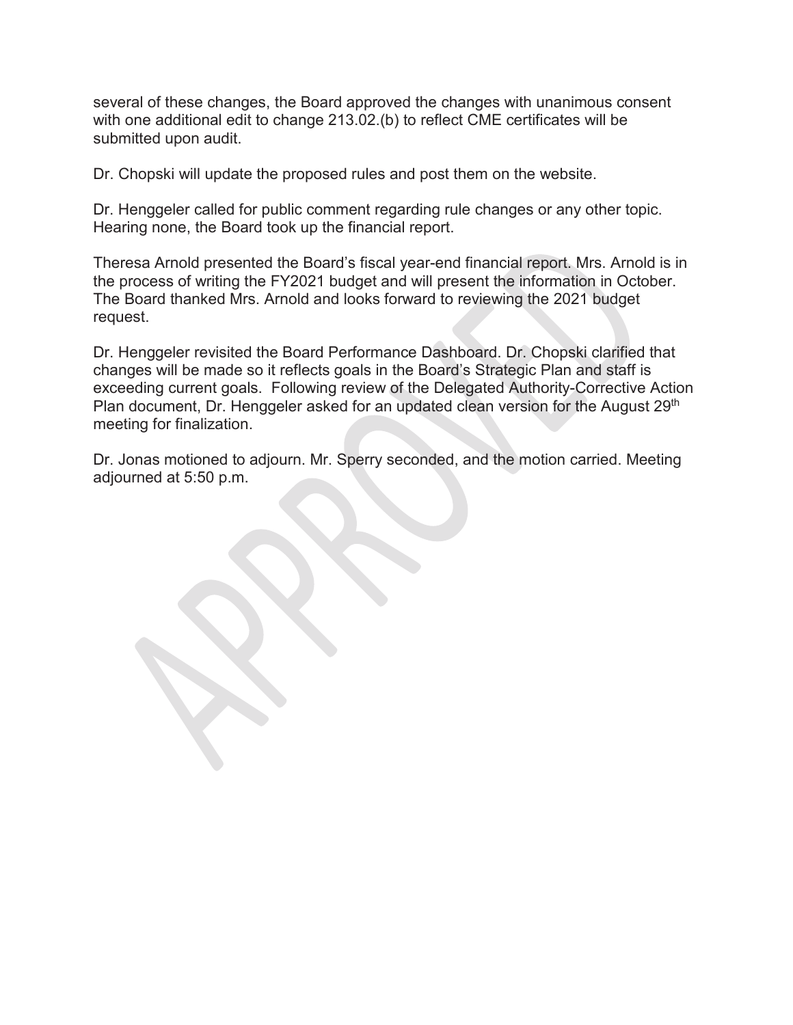several of these changes, the Board approved the changes with unanimous consent with one additional edit to change 213.02.(b) to reflect CME certificates will be submitted upon audit.

Dr. Chopski will update the proposed rules and post them on the website.

Dr. Henggeler called for public comment regarding rule changes or any other topic. Hearing none, the Board took up the financial report.

Theresa Arnold presented the Board's fiscal year-end financial report. Mrs. Arnold is in the process of writing the FY2021 budget and will present the information in October. The Board thanked Mrs. Arnold and looks forward to reviewing the 2021 budget request.

Dr. Henggeler revisited the Board Performance Dashboard. Dr. Chopski clarified that changes will be made so it reflects goals in the Board's Strategic Plan and staff is exceeding current goals. Following review of the Delegated Authority-Corrective Action Plan document, Dr. Henggeler asked for an updated clean version for the August 29<sup>th</sup> meeting for finalization.

Dr. Jonas motioned to adjourn. Mr. Sperry seconded, and the motion carried. Meeting adjourned at 5:50 p.m.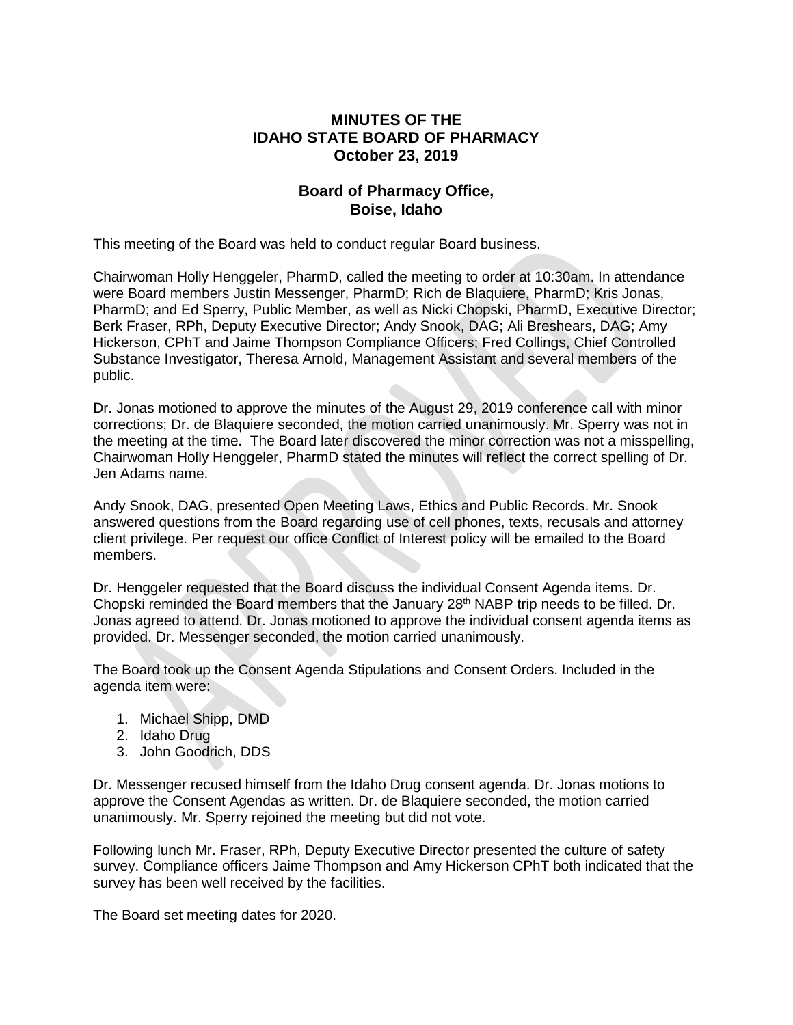# **MINUTES OF THE IDAHO STATE BOARD OF PHARMACY October 23, 2019**

## **Board of Pharmacy Office, Boise, Idaho**

This meeting of the Board was held to conduct regular Board business.

Chairwoman Holly Henggeler, PharmD, called the meeting to order at 10:30am. In attendance were Board members Justin Messenger, PharmD; Rich de Blaquiere, PharmD; Kris Jonas, PharmD; and Ed Sperry, Public Member, as well as Nicki Chopski, PharmD, Executive Director; Berk Fraser, RPh, Deputy Executive Director; Andy Snook, DAG; Ali Breshears, DAG; Amy Hickerson, CPhT and Jaime Thompson Compliance Officers; Fred Collings, Chief Controlled Substance Investigator, Theresa Arnold, Management Assistant and several members of the public.

Dr. Jonas motioned to approve the minutes of the August 29, 2019 conference call with minor corrections; Dr. de Blaquiere seconded, the motion carried unanimously. Mr. Sperry was not in the meeting at the time. The Board later discovered the minor correction was not a misspelling, Chairwoman Holly Henggeler, PharmD stated the minutes will reflect the correct spelling of Dr. Jen Adams name.

Andy Snook, DAG, presented Open Meeting Laws, Ethics and Public Records. Mr. Snook answered questions from the Board regarding use of cell phones, texts, recusals and attorney client privilege. Per request our office Conflict of Interest policy will be emailed to the Board members.

Dr. Henggeler requested that the Board discuss the individual Consent Agenda items. Dr. Chopski reminded the Board members that the January 28<sup>th</sup> NABP trip needs to be filled. Dr. Jonas agreed to attend. Dr. Jonas motioned to approve the individual consent agenda items as provided. Dr. Messenger seconded, the motion carried unanimously.

The Board took up the Consent Agenda Stipulations and Consent Orders. Included in the agenda item were:

- 1. Michael Shipp, DMD
- 2. Idaho Drug
- 3. John Goodrich, DDS

Dr. Messenger recused himself from the Idaho Drug consent agenda. Dr. Jonas motions to approve the Consent Agendas as written. Dr. de Blaquiere seconded, the motion carried unanimously. Mr. Sperry rejoined the meeting but did not vote.

Following lunch Mr. Fraser, RPh, Deputy Executive Director presented the culture of safety survey. Compliance officers Jaime Thompson and Amy Hickerson CPhT both indicated that the survey has been well received by the facilities.

The Board set meeting dates for 2020.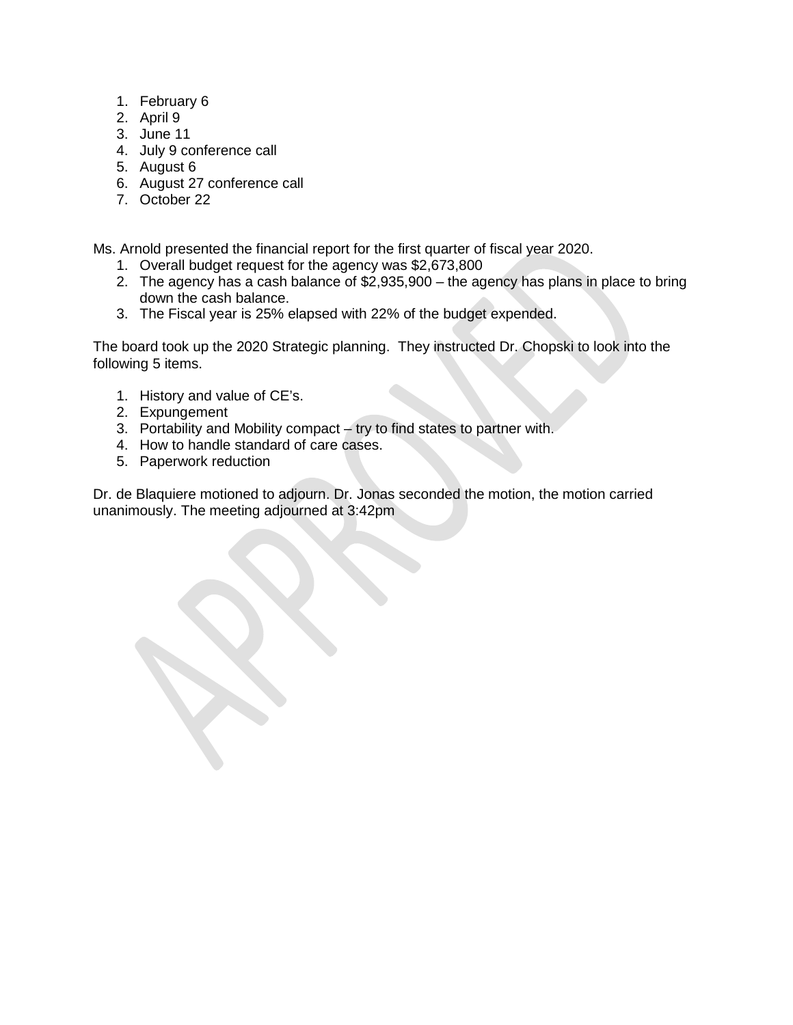- 1. February 6
- 2. April 9
- 3. June 11
- 4. July 9 conference call
- 5. August 6
- 6. August 27 conference call
- 7. October 22

Ms. Arnold presented the financial report for the first quarter of fiscal year 2020.

- 1. Overall budget request for the agency was \$2,673,800
- 2. The agency has a cash balance of \$2,935,900 the agency has plans in place to bring down the cash balance.
- 3. The Fiscal year is 25% elapsed with 22% of the budget expended.

The board took up the 2020 Strategic planning. They instructed Dr. Chopski to look into the following 5 items.

- 1. History and value of CE's.
- 2. Expungement
- 3. Portability and Mobility compact try to find states to partner with.
- 4. How to handle standard of care cases.
- 5. Paperwork reduction

Dr. de Blaquiere motioned to adjourn. Dr. Jonas seconded the motion, the motion carried unanimously. The meeting adjourned at 3:42pm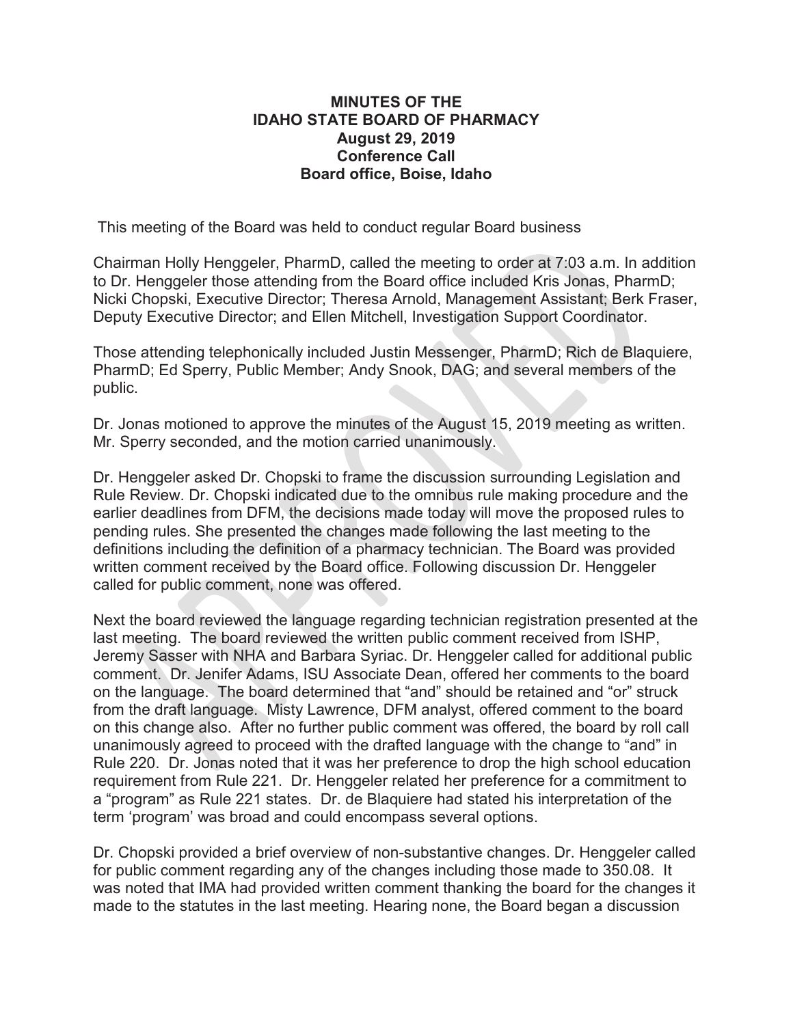# **MINUTES OF THE IDAHO STATE BOARD OF PHARMACY August 29, 2019 Conference Call Board office, Boise, Idaho**

This meeting of the Board was held to conduct regular Board business

Chairman Holly Henggeler, PharmD, called the meeting to order at 7:03 a.m. In addition to Dr. Henggeler those attending from the Board office included Kris Jonas, PharmD; Nicki Chopski, Executive Director; Theresa Arnold, Management Assistant; Berk Fraser, Deputy Executive Director; and Ellen Mitchell, Investigation Support Coordinator.

Those attending telephonically included Justin Messenger, PharmD; Rich de Blaquiere, PharmD; Ed Sperry, Public Member; Andy Snook, DAG; and several members of the public.

Dr. Jonas motioned to approve the minutes of the August 15, 2019 meeting as written. Mr. Sperry seconded, and the motion carried unanimously.

Dr. Henggeler asked Dr. Chopski to frame the discussion surrounding Legislation and Rule Review. Dr. Chopski indicated due to the omnibus rule making procedure and the earlier deadlines from DFM, the decisions made today will move the proposed rules to pending rules. She presented the changes made following the last meeting to the definitions including the definition of a pharmacy technician. The Board was provided written comment received by the Board office. Following discussion Dr. Henggeler called for public comment, none was offered.

Next the board reviewed the language regarding technician registration presented at the last meeting. The board reviewed the written public comment received from ISHP, Jeremy Sasser with NHA and Barbara Syriac. Dr. Henggeler called for additional public comment. Dr. Jenifer Adams, ISU Associate Dean, offered her comments to the board on the language. The board determined that "and" should be retained and "or" struck from the draft language. Misty Lawrence, DFM analyst, offered comment to the board on this change also. After no further public comment was offered, the board by roll call unanimously agreed to proceed with the drafted language with the change to "and" in Rule 220. Dr. Jonas noted that it was her preference to drop the high school education requirement from Rule 221. Dr. Henggeler related her preference for a commitment to a "program" as Rule 221 states. Dr. de Blaquiere had stated his interpretation of the term 'program' was broad and could encompass several options.

Dr. Chopski provided a brief overview of non-substantive changes. Dr. Henggeler called for public comment regarding any of the changes including those made to 350.08. It was noted that IMA had provided written comment thanking the board for the changes it made to the statutes in the last meeting. Hearing none, the Board began a discussion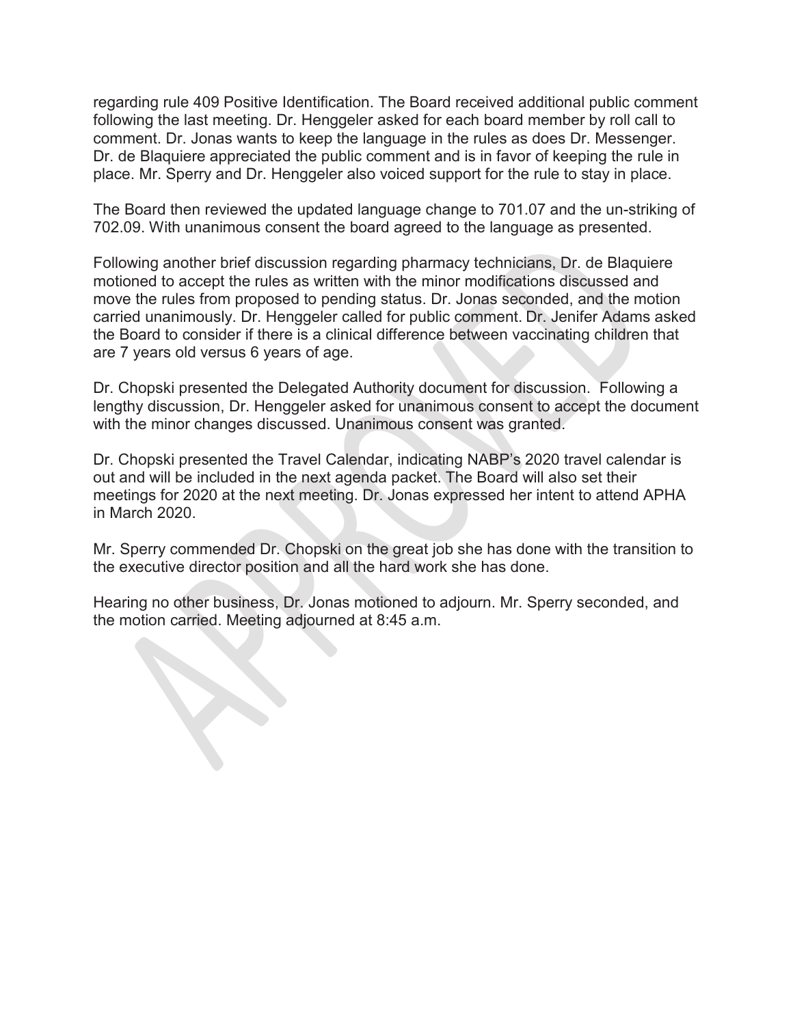regarding rule 409 Positive Identification. The Board received additional public comment following the last meeting. Dr. Henggeler asked for each board member by roll call to comment. Dr. Jonas wants to keep the language in the rules as does Dr. Messenger. Dr. de Blaquiere appreciated the public comment and is in favor of keeping the rule in place. Mr. Sperry and Dr. Henggeler also voiced support for the rule to stay in place.

The Board then reviewed the updated language change to 701.07 and the un-striking of 702.09. With unanimous consent the board agreed to the language as presented.

Following another brief discussion regarding pharmacy technicians, Dr. de Blaquiere motioned to accept the rules as written with the minor modifications discussed and move the rules from proposed to pending status. Dr. Jonas seconded, and the motion carried unanimously. Dr. Henggeler called for public comment. Dr. Jenifer Adams asked the Board to consider if there is a clinical difference between vaccinating children that are 7 years old versus 6 years of age.

Dr. Chopski presented the Delegated Authority document for discussion. Following a lengthy discussion, Dr. Henggeler asked for unanimous consent to accept the document with the minor changes discussed. Unanimous consent was granted.

Dr. Chopski presented the Travel Calendar, indicating NABP's 2020 travel calendar is out and will be included in the next agenda packet. The Board will also set their meetings for 2020 at the next meeting. Dr. Jonas expressed her intent to attend APHA in March 2020.

Mr. Sperry commended Dr. Chopski on the great job she has done with the transition to the executive director position and all the hard work she has done.

Hearing no other business, Dr. Jonas motioned to adjourn. Mr. Sperry seconded, and the motion carried. Meeting adjourned at 8:45 a.m.